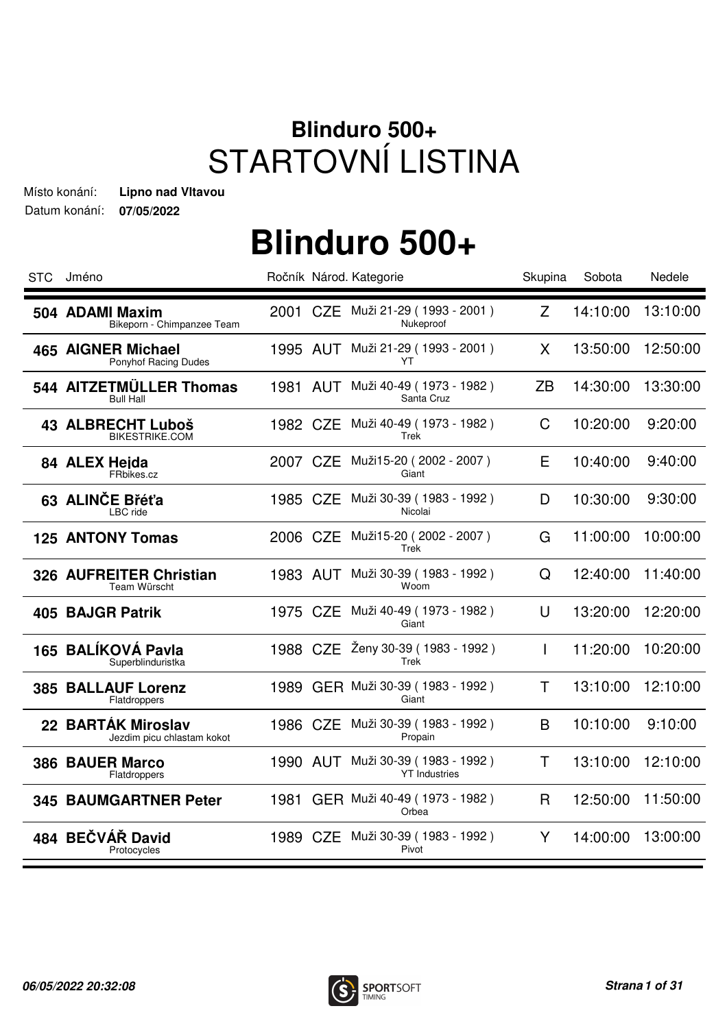#### **Blinduro 500+** STARTOVNÍ LISTINA

Datum konání: **07/05/2022** Místo konání: **Lipno nad Vltavou**

| <b>STC</b> | Jméno                                                |      |          | Ročník Národ. Kategorie                                   | Skupina      | Sobota   | Nedele   |
|------------|------------------------------------------------------|------|----------|-----------------------------------------------------------|--------------|----------|----------|
|            | 504 ADAMI Maxim<br>Bikeporn - Chimpanzee Team        |      |          | 2001 CZE Muži 21-29 (1993 - 2001)<br>Nukeproof            | Z            | 14:10:00 | 13:10:00 |
|            | <b>465 AIGNER Michael</b><br>Ponyhof Racing Dudes    |      |          | 1995 AUT Muži 21-29 (1993 - 2001)<br>YT                   | X            | 13:50:00 | 12:50:00 |
|            | 544 AITZETMÜLLER Thomas<br><b>Bull Hall</b>          | 1981 |          | AUT Muži 40-49 (1973 - 1982)<br>Santa Cruz                | ZB           | 14:30:00 | 13:30:00 |
|            | <b>43 ALBRECHT Luboš</b><br><b>BIKESTRIKE.COM</b>    |      |          | 1982 CZE Muži 40-49 (1973 - 1982)<br>Trek                 | $\mathsf C$  | 10:20:00 | 9:20:00  |
|            | 84 ALEX Heida<br>FRbikes.cz                          |      |          | 2007 CZE Muži15-20 (2002 - 2007)<br>Giant                 | E            | 10:40:00 | 9:40:00  |
|            | 63 ALINČE Břéťa<br>LBC ride                          | 1985 |          | CZE Muži 30-39 (1983 - 1992)<br>Nicolai                   | D            | 10:30:00 | 9:30:00  |
|            | <b>125 ANTONY Tomas</b>                              |      |          | 2006 CZE Muži15-20 (2002 - 2007)<br>Trek                  | G            | 11:00:00 | 10:00:00 |
|            | 326 AUFREITER Christian<br>Team Würscht              |      |          | 1983 AUT Muži 30-39 (1983 - 1992)<br>Woom                 | Q            | 12:40:00 | 11:40:00 |
|            | 405 BAJGR Patrik                                     |      |          | 1975 CZE Muži 40-49 (1973 - 1982)<br>Giant                | $\cup$       | 13:20:00 | 12:20:00 |
|            | 165 BALÍKOVÁ Pavla<br>Superblinduristka              |      | 1988 CZE | Ženy 30-39 (1983 - 1992)<br>Trek                          | $\mathsf{I}$ | 11:20:00 | 10:20:00 |
| 385        | <b>BALLAUF Lorenz</b><br>Flatdroppers                |      |          | 1989 GER Muži 30-39 (1983 - 1992)<br>Giant                | T            | 13:10:00 | 12:10:00 |
| 22         | <b>BARTÁK Miroslav</b><br>Jezdim picu chlastam kokot |      |          | 1986 CZE Muži 30-39 (1983 - 1992)<br>Propain              | B            | 10:10:00 | 9:10:00  |
|            | <b>386 BAUER Marco</b><br>Flatdroppers               |      |          | 1990 AUT Muži 30-39 (1983 - 1992)<br><b>YT</b> Industries | Τ            | 13:10:00 | 12:10:00 |
|            | <b>345 BAUMGARTNER Peter</b>                         | 1981 |          | GER Muži 40-49 (1973 - 1982)<br>Orbea                     | R            | 12:50:00 | 11:50:00 |
|            | 484 BEČVÁŘ David<br>Protocycles                      |      |          | 1989 CZE Muži 30-39 (1983 - 1992)<br>Pivot                | Y            | 14:00:00 | 13:00:00 |

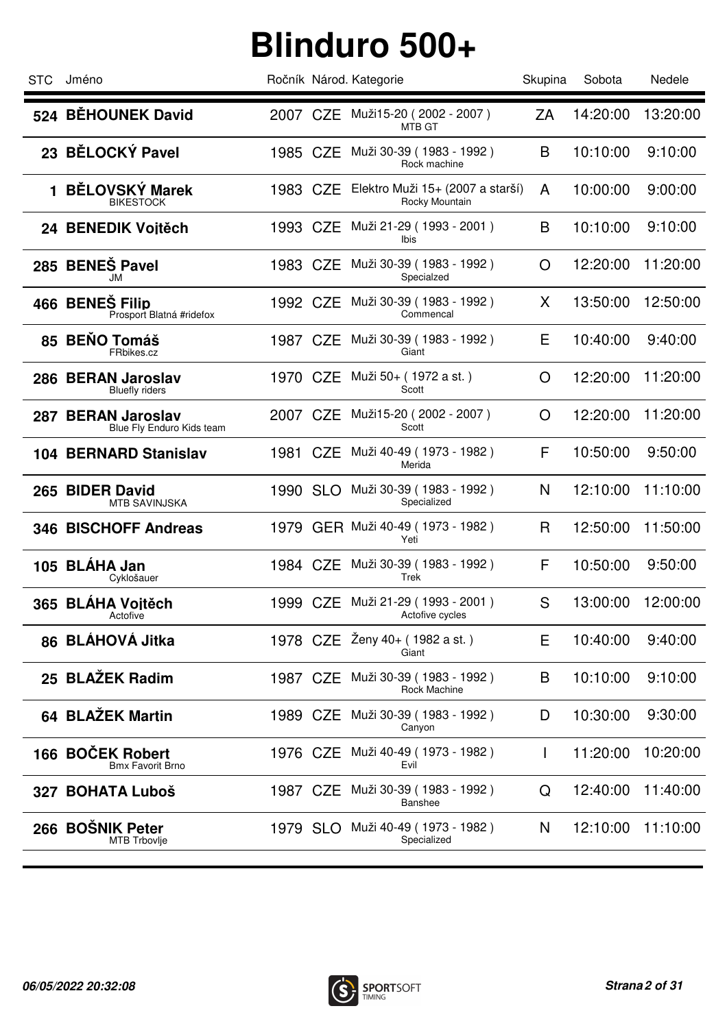| <b>STC</b> | Jméno                                           |          |          | Ročník Národ. Kategorie                              | Skupina      | Sobota   | Nedele   |
|------------|-------------------------------------------------|----------|----------|------------------------------------------------------|--------------|----------|----------|
|            | 524 BĚHOUNEK David                              |          |          | 2007 CZE Muži15-20 (2002 - 2007)<br>MTB GT           | ZA           | 14:20:00 | 13:20:00 |
|            | 23 BĚLOCKÝ Pavel                                | 1985 CZE |          | Muži 30-39 (1983 - 1992)<br>Rock machine             | B            | 10:10:00 | 9:10:00  |
| 1          | <b>BĚLOVSKÝ Marek</b><br><b>BIKESTOCK</b>       | 1983 CZE |          | Elektro Muži 15+ (2007 a starší)<br>Rocky Mountain   | A            | 10:00:00 | 9:00:00  |
|            | 24 BENEDIK Voitěch                              | 1993 CZE |          | Muži 21-29 (1993 - 2001)<br>Ibis                     | B            | 10:10:00 | 9:10:00  |
|            | 285 BENEŠ Pavel<br>JM                           | 1983 CZE |          | Muži 30-39 (1983 - 1992)<br>Specialzed               | O            | 12:20:00 | 11:20:00 |
|            | 466 BENEŠ Filip<br>Prosport Blatná #ridefox     | 1992 CZE |          | Muži 30-39 (1983 - 1992)<br>Commencal                | X            | 13:50:00 | 12:50:00 |
|            | 85 BENO Tomáš<br>FRbikes.cz                     | 1987 CZE |          | Muži 30-39 (1983 - 1992)<br>Giant                    | Е            | 10:40:00 | 9:40:00  |
|            | 286 BERAN Jaroslav<br><b>Bluefly riders</b>     | 1970 CZE |          | Muži 50+ (1972 a st.)<br>Scott                       | O            | 12:20:00 | 11:20:00 |
|            | 287 BERAN Jaroslav<br>Blue Fly Enduro Kids team | 2007 CZE |          | Muži15-20 (2002 - 2007)<br>Scott                     | O            | 12:20:00 | 11:20:00 |
|            | <b>104 BERNARD Stanislav</b>                    | 1981 CZE |          | Muži 40-49 (1973 - 1982)<br>Merida                   | F            | 10:50:00 | 9:50:00  |
|            | 265 BIDER David<br><b>MTB SAVINJSKA</b>         | 1990 SLO |          | Muži 30-39 (1983 - 1992)<br>Specialized              | N            | 12:10:00 | 11:10:00 |
|            | 346 BISCHOFF Andreas                            |          |          | 1979 GER Muži 40-49 (1973 - 1982)<br>Yeti            | R            | 12:50:00 | 11:50:00 |
|            | 105 BLÁHA Jan<br>Cyklošauer                     |          |          | 1984 CZE Muži 30-39 (1983 - 1992)<br>Trek            | F            | 10:50:00 | 9:50:00  |
|            | 365 BLÁHA Vojtěch<br>Actorive                   |          |          | 1999 CZE Muži 21-29 (1993 - 2001)<br>Actofive cycles | S            | 13:00:00 | 12:00:00 |
|            | 86 BLÁHOVÁ Jitka                                |          | 1978 CZE | Ženy 40+ (1982 a st.)<br>Giant                       | E            | 10:40:00 | 9:40:00  |
|            | 25 BLAŽEK Radim                                 |          | 1987 CZE | Muži 30-39 (1983 - 1992)<br>Rock Machine             | B            | 10:10:00 | 9:10:00  |
|            | 64 BLAŽEK Martin                                | 1989 CZE |          | Muži 30-39 (1983 - 1992)<br>Canyon                   | D            | 10:30:00 | 9:30:00  |
|            | 166 BOČEK Robert<br><b>Bmx Favorit Brno</b>     | 1976 CZE |          | Muži 40-49 (1973 - 1982)<br>Evil                     | $\mathbf{I}$ | 11:20:00 | 10:20:00 |
| 327        | <b>BOHATA Luboš</b>                             | 1987 CZE |          | Muži 30-39 (1983 - 1992)<br>Banshee                  | Q            | 12:40:00 | 11:40:00 |
|            | 266 BOŠNIK Peter<br><b>MTB Trbovlje</b>         |          | 1979 SLO | Muži 40-49 (1973 - 1982)<br>Specialized              | N            | 12:10:00 | 11:10:00 |
|            |                                                 |          |          |                                                      |              |          |          |

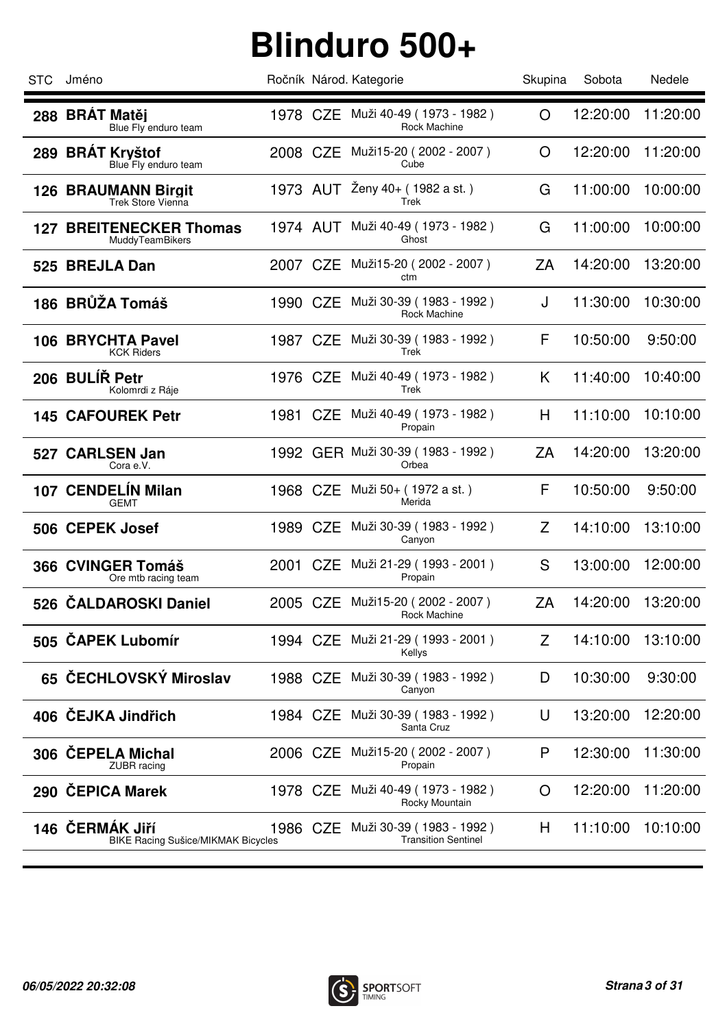| <b>STC</b> | Jméno                                                        |          | Ročník Národ. Kategorie                                         | Skupina | Sobota   | Nedele   |
|------------|--------------------------------------------------------------|----------|-----------------------------------------------------------------|---------|----------|----------|
|            | 288 BRÁT Matěj<br>Blue Fly enduro team                       |          | 1978 CZE Muži 40-49 (1973 - 1982)<br>Rock Machine               | O       | 12:20:00 | 11:20:00 |
|            | 289 BRÁT Kryštof<br>Blue Fly enduro team                     | 2008 CZE | Muži15-20 (2002 - 2007)<br>Cube                                 | O       | 12:20:00 | 11:20:00 |
|            | <b>126 BRAUMANN Birgit</b><br><b>Trek Store Vienna</b>       | 1973 AUT | Ženy 40+ (1982 a st.)<br>Trek                                   | G       | 11:00:00 | 10:00:00 |
| 127        | <b>BREITENECKER Thomas</b><br>MuddyTeamBikers                |          | 1974 AUT Muži 40-49 (1973 - 1982)<br>Ghost                      | G       | 11:00:00 | 10:00:00 |
|            | 525 BREJLA Dan                                               | 2007 CZE | Muži15-20 (2002 - 2007)<br>ctm                                  | ZΑ      | 14:20:00 | 13:20:00 |
|            | 186 BRŮŽA Tomáš                                              | 1990 CZE | Muži 30-39 (1983 - 1992)<br>Rock Machine                        | J       | 11:30:00 | 10:30:00 |
|            | 106 BRYCHTA Pavel<br><b>KCK Riders</b>                       | 1987 CZE | Muži 30-39 (1983 - 1992)<br>Trek                                | F       | 10:50:00 | 9:50:00  |
|            | 206 BULIR Petr<br>Kolomrdi z Ráje                            | 1976 CZE | Muži 40-49 (1973 - 1982)<br>Trek                                | K       | 11:40:00 | 10:40:00 |
|            | <b>145 CAFOUREK Petr</b>                                     | 1981 CZE | Muži 40-49 (1973 - 1982)<br>Propain                             | H       | 11:10:00 | 10:10:00 |
|            | 527 CARLSEN Jan<br>Cora e.V.                                 |          | 1992 GER Muži 30-39 (1983 - 1992)<br>Orbea                      | ZA      | 14:20:00 | 13:20:00 |
|            | 107 CENDELÍN Milan<br><b>GEMT</b>                            | 1968 CZE | Muži 50+ (1972 a st.)<br>Merida                                 | F       | 10:50:00 | 9:50:00  |
|            | 506 CEPEK Josef                                              | 1989 CZE | Muži 30-39 (1983 - 1992)<br>Canyon                              | Z       | 14:10:00 | 13:10:00 |
|            | 366 CVINGER Tomáš<br>Ore mtb racing team                     |          | 2001 CZE Muži 21-29 (1993 - 2001)<br>Propain                    | S       | 13:00:00 | 12:00:00 |
|            | 526 CALDAROSKI Daniel                                        | 2005 CZE | Muži15-20 (2002 - 2007)<br>Rock Machine                         | ZA      | 14:20:00 | 13:20:00 |
|            | 505 CAPEK Lubomír                                            | 1994 CZE | Muži 21-29 (1993 - 2001)<br>Kellys                              | Z       | 14:10:00 | 13:10:00 |
|            | 65 ČECHLOVSKÝ Miroslav                                       | 1988 CZE | Muži 30-39 (1983 - 1992)<br>Canyon                              | D       | 10:30:00 | 9:30:00  |
|            | 406 ČEJKA Jindřich                                           | 1984 CZE | Muži 30-39 (1983 - 1992)<br>Santa Cruz                          | U       | 13:20:00 | 12:20:00 |
|            | 306 ČEPELA Michal<br><b>ZUBR</b> racing                      | 2006 CZE | Muži15-20 (2002 - 2007)<br>Propain                              | P       | 12:30:00 | 11:30:00 |
|            | 290 ČEPICA Marek                                             | 1978 CZE | Muži 40-49 (1973 - 1982)<br>Rocky Mountain                      | O       | 12:20:00 | 11:20:00 |
|            | 146 ČERMÁK JIří<br><b>BIKE Racing Sušice/MIKMAK Bicycles</b> |          | 1986 CZE Muži 30-39 (1983 - 1992)<br><b>Transition Sentinel</b> | H       | 11:10:00 | 10:10:00 |

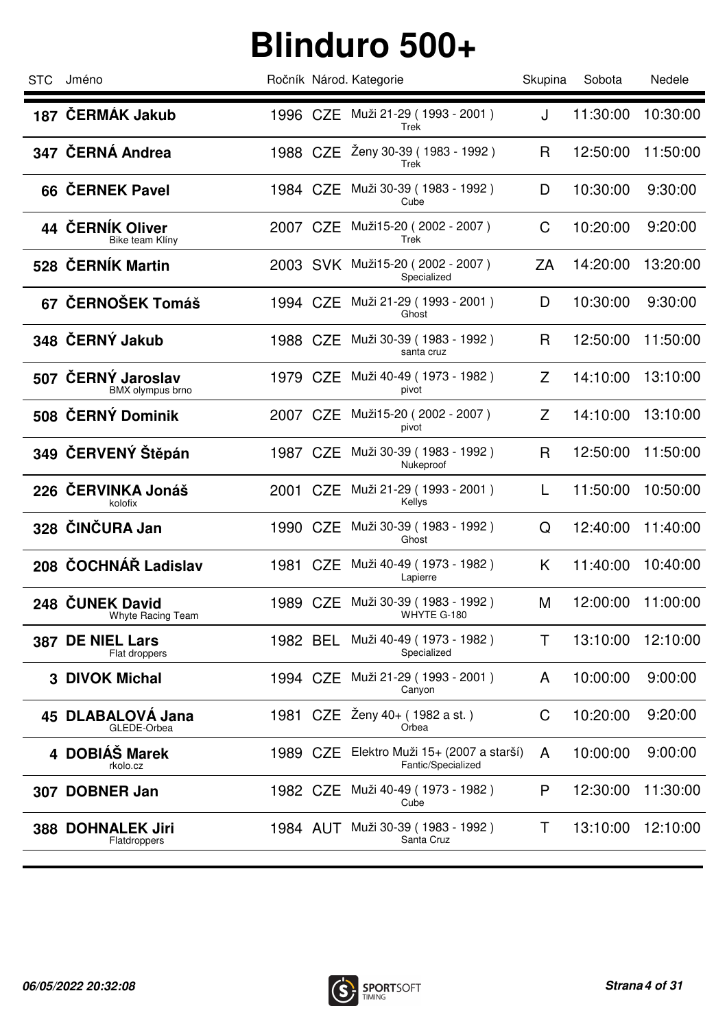| STC | Jméno                                         |          |          | Ročník Národ. Kategorie                                | Skupina | Sobota   | Nedele   |
|-----|-----------------------------------------------|----------|----------|--------------------------------------------------------|---------|----------|----------|
|     | 187 ČERMÁK Jakub                              |          |          | 1996 CZE Muži 21-29 (1993 - 2001)<br>Trek              | J       | 11:30:00 | 10:30:00 |
|     | 347 ČERNÁ Andrea                              |          |          | 1988 CZE Ženy 30-39 (1983 - 1992)<br>Trek              | R       | 12:50:00 | 11:50:00 |
|     | 66 ČERNEK Pavel                               |          |          | 1984 CZE Muži 30-39 (1983 - 1992)<br>Cube              | D       | 10:30:00 | 9:30:00  |
|     | 44 ČERNÍK Oliver<br>Bike team Klíny           |          |          | 2007 CZE Muži15-20 (2002 - 2007)<br>Trek               | C       | 10:20:00 | 9:20:00  |
|     | 528 ČERNÍK Martin                             |          |          | 2003 SVK Muži15-20 (2002 - 2007)<br>Specialized        | ZA      | 14:20:00 | 13:20:00 |
|     | 67 ČERNOŠEK Tomáš                             | 1994 CZE |          | Muži 21-29 ( 1993 - 2001 )<br>Ghost                    | D       | 10:30:00 | 9:30:00  |
|     | 348 ČERNÝ Jakub                               | 1988 CZE |          | Muži 30-39 (1983 - 1992)<br>santa cruz                 | R       | 12:50:00 | 11:50:00 |
|     | 507 ČERNÝ Jaroslav<br><b>BMX</b> olympus brno | 1979 CZE |          | Muži 40-49 (1973 - 1982)<br>pivot                      | Z       | 14:10:00 | 13:10:00 |
|     | 508 ČERNÝ Dominik                             | 2007 CZE |          | Muži15-20 (2002 - 2007)<br>pivot                       | Z       | 14:10:00 | 13:10:00 |
|     | 349 ČERVENÝ Štěpán                            | 1987 CZE |          | Muži 30-39 (1983 - 1992)<br>Nukeproof                  | R       | 12:50:00 | 11:50:00 |
|     | 226 ČERVINKA Jonáš<br>kolofix                 |          |          | 2001 CZE Muži 21-29 (1993 - 2001)<br>Kellys            | L       | 11:50:00 | 10:50:00 |
|     | 328 ČINČURA Jan                               | 1990 CZE |          | Muži 30-39 (1983 - 1992)<br>Ghost                      | Q       | 12:40:00 | 11:40:00 |
|     | 208 ČOCHNÁŘ Ladislav                          |          |          | 1981 CZE Muži 40-49 (1973 - 1982)<br>Lapierre          | K       | 11:40:00 | 10:40:00 |
|     | 248 ČUNEK David<br>Whyte Racing Team          |          |          | 1989 CZE Muži 30-39 (1983 - 1992)<br>WHYTE G-180       | М       | 12:00:00 | 11:00:00 |
| 387 | <b>DE NIEL Lars</b><br>Flat droppers          | 1982 BEL |          | Muži 40-49 (1973 - 1982)<br>Specialized                | T.      | 13:10:00 | 12:10:00 |
|     | <b>3 DIVOK Michal</b>                         |          |          | 1994 CZE Muži 21-29 (1993 - 2001)<br>Canyon            | A       | 10:00:00 | 9:00:00  |
|     | 45 DLABALOVA Jana<br>GLEDE-Orbea              |          |          | 1981 CZE Ženy 40+ (1982 a st.)<br>Orbea                | C       | 10:20:00 | 9:20:00  |
|     | 4 DOBIÁŠ Marek<br>rkolo.cz                    |          | 1989 CZE | Elektro Muži 15+ (2007 a starší)<br>Fantic/Specialized | A       | 10:00:00 | 9:00:00  |
| 307 | <b>DOBNER Jan</b>                             |          |          | 1982 CZE Muži 40-49 (1973 - 1982)<br>Cube              | P       | 12:30:00 | 11:30:00 |
|     | 388 DOHNALEK Jiri<br>Flatdroppers             |          |          | 1984 AUT Muži 30-39 (1983 - 1992)<br>Santa Cruz        | T       | 13:10:00 | 12:10:00 |
|     |                                               |          |          |                                                        |         |          |          |

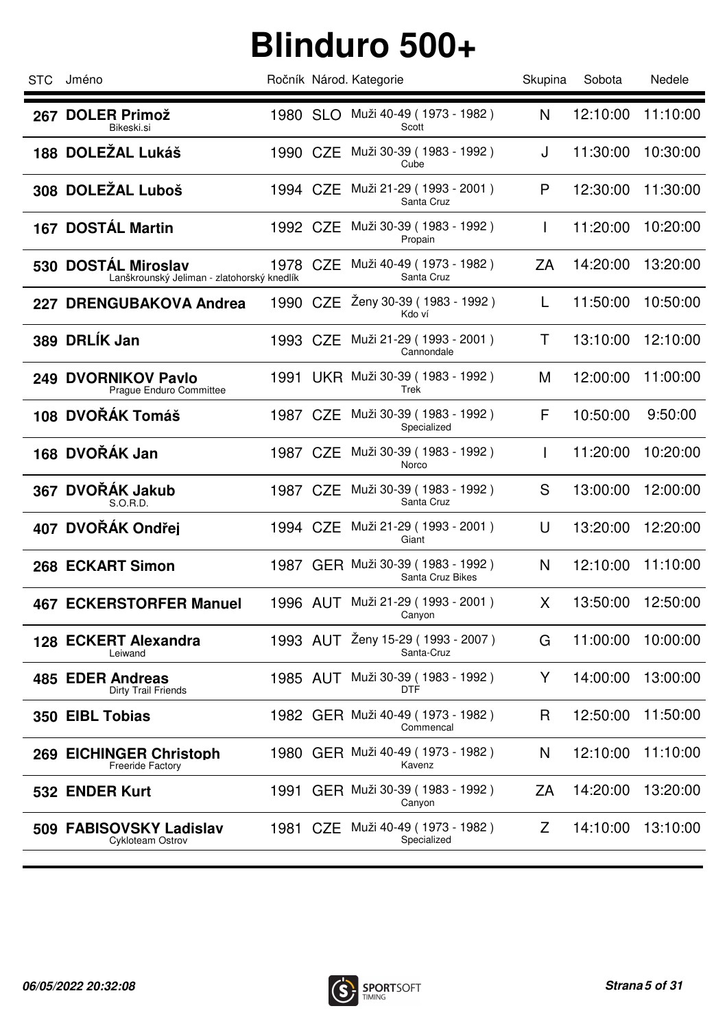| <b>STC</b> | Jméno                                                             |          |          | Ročník Národ. Kategorie                               | Skupina | Sobota   | Nedele   |
|------------|-------------------------------------------------------------------|----------|----------|-------------------------------------------------------|---------|----------|----------|
| 267        | <b>DOLER Primož</b><br>Bikeski.si                                 | 1980 SLO |          | Muži 40-49 (1973 - 1982)<br>Scott                     | N       | 12:10:00 | 11:10:00 |
|            | 188 DOLEŽAL Lukáš                                                 | 1990 CZE |          | Muži 30-39 (1983 - 1992)<br>Cube                      | J       | 11:30:00 | 10:30:00 |
|            | 308 DOLEŽAL Luboš                                                 | 1994 CZE |          | Muži 21-29 (1993 - 2001)<br>Santa Cruz                | P       | 12:30:00 | 11:30:00 |
|            | 167 DOSTÁL Martin                                                 |          |          | 1992 CZE Muži 30-39 (1983 - 1992)<br>Propain          |         | 11:20:00 | 10:20:00 |
|            | 530 DOSTÁL Miroslav<br>Lanškrounský Jeliman - zlatohorský knedlík | 1978 CZE |          | Muži 40-49 (1973 - 1982)<br>Santa Cruz                | ZA      | 14:20:00 | 13:20:00 |
|            | 227 DRENGUBAKOVA Andrea                                           | 1990 CZE |          | Ženy 30-39 (1983 - 1992)<br>Kdo ví                    | L       | 11:50:00 | 10:50:00 |
|            | 389 DRLÍK Jan                                                     | 1993 CZE |          | Muži 21-29 (1993 - 2001)<br>Cannondale                | т       | 13:10:00 | 12:10:00 |
|            | 249 DVORNIKOV Pavlo<br>Prague Enduro Committee                    |          |          | 1991 UKR Muži 30-39 (1983 - 1992)<br>Trek             | M       | 12:00:00 | 11:00:00 |
|            | 108 DVOŘÁK Tomáš                                                  | 1987 CZE |          | Muži 30-39 ( 1983 - 1992 )<br>Specialized             | F       | 10:50:00 | 9:50:00  |
|            | 168 DVOŘÁK Jan                                                    | 1987 CZE |          | Muži 30-39 (1983 - 1992)<br>Norco                     |         | 11:20:00 | 10:20:00 |
|            | 367 DVOŘÁK Jakub<br>S.O.R.D.                                      | 1987 CZE |          | Muži 30-39 (1983 - 1992 )<br>Santa Cruz               | S       | 13:00:00 | 12:00:00 |
|            | 407 DVOŘÁK Ondřej                                                 | 1994 CZE |          | Muži 21-29 ( 1993 - 2001 )<br>Giant                   | U       | 13:20:00 | 12:20:00 |
|            | 268 ECKART Simon                                                  |          |          | 1987 GER Muži 30-39 (1983 - 1992)<br>Santa Cruz Bikes | N       | 12:10:00 | 11:10:00 |
|            | <b>467 ECKERSTORFER Manuel</b>                                    |          |          | 1996 AUT Muži 21-29 (1993 - 2001)<br>Canyon           | X       | 13:50:00 | 12:50:00 |
|            | 128 ECKERT Alexandra<br>Leiwand                                   | 1993 AUT |          | Ženy 15-29 (1993 - 2007)<br>Santa-Cruz                | G       | 11:00:00 | 10:00:00 |
|            | 485 EDER Andreas<br>Dirty Trail Friends                           |          | 1985 AUT | Muži 30-39 (1983 - 1992)<br><b>DTF</b>                | Y       | 14:00:00 | 13:00:00 |
|            | 350 EIBL Tobias                                                   |          |          | 1982 GER Muži 40-49 (1973 - 1982)<br>Commencal        | R       | 12:50:00 | 11:50:00 |
|            | 269 EICHINGER Christoph<br><b>Freeride Factory</b>                |          |          | 1980 GER Muži 40-49 (1973 - 1982)<br>Kavenz           | N       | 12:10:00 | 11:10:00 |
|            | 532 ENDER Kurt                                                    | 1991     |          | GER Muži 30-39 (1983 - 1992)<br>Canyon                | ΖA      | 14:20:00 | 13:20:00 |
| 509        | <b>FABISOVSKY Ladislav</b><br>Cykloteam Ostrov                    |          |          | 1981 CZE Muži 40-49 (1973 - 1982)<br>Specialized      | Z       | 14:10:00 | 13:10:00 |
|            |                                                                   |          |          |                                                       |         |          |          |

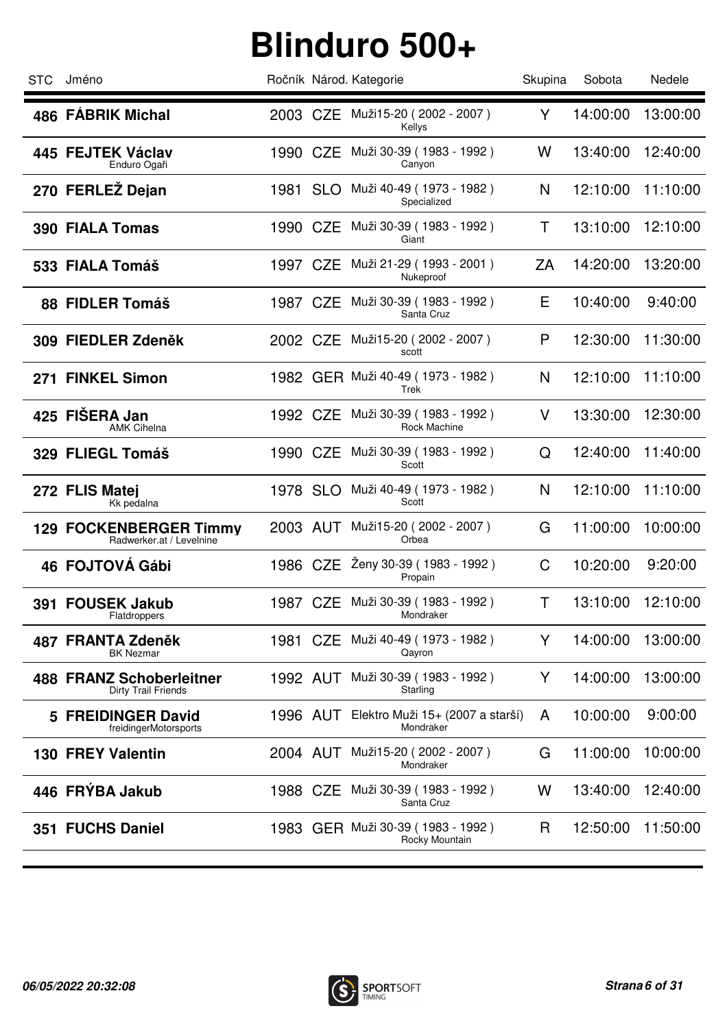| <b>STC</b> | Jméno                                                     |          |          | Ročník Národ. Kategorie                             | Skupina | Sobota   | Nedele   |
|------------|-----------------------------------------------------------|----------|----------|-----------------------------------------------------|---------|----------|----------|
|            | 486 FÁBRIK Michal                                         |          |          | 2003 CZE Muži15-20 (2002 - 2007)<br>Kellys          | Y       | 14:00:00 | 13:00:00 |
|            | 445 FEJTEK Václav<br>Enduro Ogaři                         | 1990 CZE |          | Muži 30-39 (1983 - 1992)<br>Canyon                  | W       | 13:40:00 | 12:40:00 |
|            | 270 FERLEŽ Dejan                                          | 1981 SLO |          | Muži 40-49 (1973 - 1982)<br>Specialized             | N       | 12:10:00 | 11:10:00 |
|            | 390 FIALA Tomas                                           | 1990 CZE |          | Muži 30-39 (1983 - 1992)<br>Giant                   | Т       | 13:10:00 | 12:10:00 |
|            | 533 FIALA Tomáš                                           | 1997 CZE |          | Muži 21-29 (1993 - 2001)<br>Nukeproof               | ΖA      | 14:20:00 | 13:20:00 |
|            | 88 FIDLER Tomáš                                           |          |          | 1987 CZE Muži 30-39 (1983 - 1992)<br>Santa Cruz     | Е       | 10:40:00 | 9:40:00  |
|            | 309 FIEDLER Zdeněk                                        | 2002 CZE |          | Muži15-20 (2002 - 2007)<br>scott                    | P       | 12:30:00 | 11:30:00 |
|            | 271 FINKEL Simon                                          |          |          | 1982 GER Muži 40-49 (1973 - 1982)<br>Trek           | N       | 12:10:00 | 11:10:00 |
|            | 425 FIŠERA Jan<br><b>AMK Cihelna</b>                      | 1992 CZE |          | Muži 30-39 (1983 - 1992)<br>Rock Machine            | V       | 13:30:00 | 12:30:00 |
|            | 329 FLIEGL Tomáš                                          | 1990 CZE |          | Muži 30-39 (1983 - 1992)<br>Scott                   | Q       | 12:40:00 | 11:40:00 |
|            | 272 FLIS Matej<br>Kk pedalna                              | 1978 SLO |          | Muži 40-49 (1973 - 1982)<br>Scott                   | N       | 12:10:00 | 11:10:00 |
|            | <b>129 FOCKENBERGER Timmy</b><br>Radwerker.at / Levelnine |          |          | 2003 AUT Muži15-20 (2002 - 2007)<br>Orbea           | G       | 11:00:00 | 10:00:00 |
|            | 46 FOJTOVÁ Gábi                                           |          |          | 1986 CZE Ženy 30-39 (1983 - 1992)<br>Propain        | C       | 10:20:00 | 9:20:00  |
|            | 391 FOUSEK Jakub<br>Flatdroppers                          |          |          | 1987 CZE Muži 30-39 (1983 - 1992)<br>Mondraker      | Τ       | 13:10:00 | 12:10:00 |
|            | 487 FRANTA Zdeněk<br><b>BK Nezmar</b>                     | 1981 CZE |          | Muži 40-49 (1973 - 1982)<br>Qayron                  | Y       | 14:00:00 | 13:00:00 |
|            | 488 FRANZ Schoberleitner<br><b>Dirty Trail Friends</b>    |          | 1992 AUT | Muži 30-39 (1983 - 1992)<br>Starling                | Y       | 14:00:00 | 13:00:00 |
|            | 5 FREIDINGER David<br>freidingerMotorsports               |          | 1996 AUT | Elektro Muži 15+ (2007 a starší)<br>Mondraker       | A       | 10:00:00 | 9:00:00  |
|            | <b>130 FREY Valentin</b>                                  | 2004 AUT |          | Muži15-20 (2002 - 2007)<br>Mondraker                | G       | 11:00:00 | 10:00:00 |
|            | 446 FRÝBA Jakub                                           | 1988 CZE |          | Muži 30-39 (1983 - 1992)<br>Santa Cruz              | W       | 13:40:00 | 12:40:00 |
|            | 351 FUCHS Daniel                                          |          |          | 1983 GER Muži 30-39 (1983 - 1992)<br>Rocky Mountain | R       | 12:50:00 | 11:50:00 |
|            |                                                           |          |          |                                                     |         |          |          |

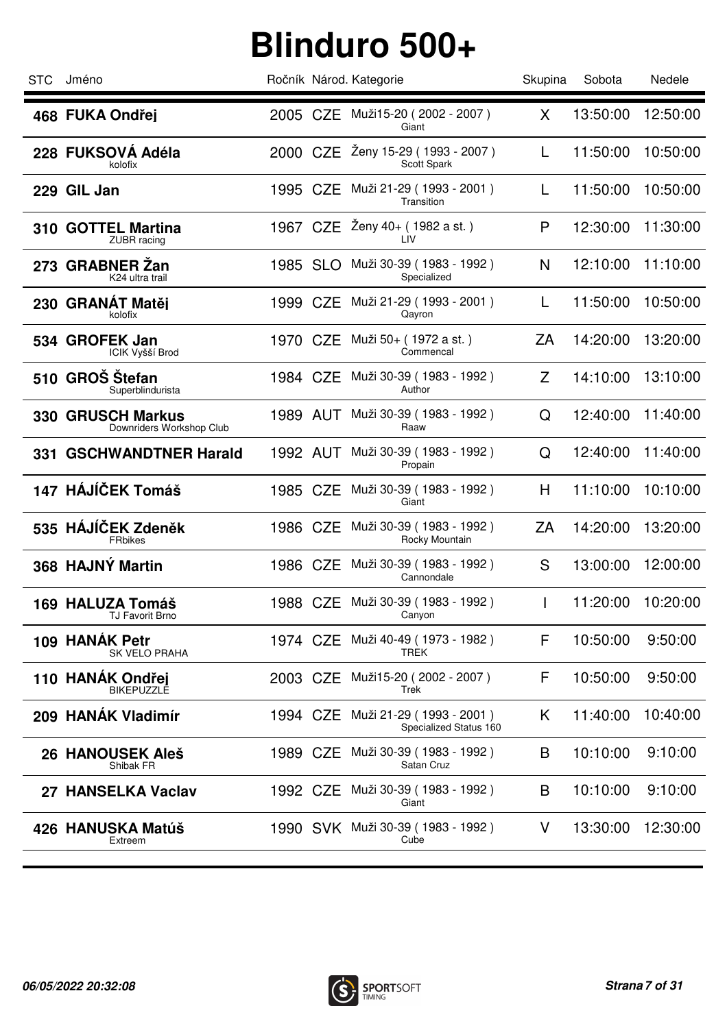| STC. | Jméno                                                |          |          | Ročník Národ. Kategorie                                    | Skupina      | Sobota   | Nedele   |
|------|------------------------------------------------------|----------|----------|------------------------------------------------------------|--------------|----------|----------|
|      | 468 FUKA Ondřej                                      |          |          | 2005 CZE Muži15-20 (2002 - 2007)<br>Giant                  | X            | 13:50:00 | 12:50:00 |
|      | 228 FUKSOVA Adéla<br>kolofix                         |          |          | 2000 CZE Ženy 15-29 (1993 - 2007)<br>Scott Spark           | L            | 11:50:00 | 10:50:00 |
|      | 229 GIL Jan                                          |          |          | 1995 CZE Muži 21-29 (1993 - 2001)<br>Transition            | L            | 11:50:00 | 10:50:00 |
|      | 310 GOTTEL Martina<br>ZUBR racing                    |          |          | 1967 CZE $\overline{2}$ eny 40+ (1982 a st.)<br><b>LIV</b> | P            | 12:30:00 | 11:30:00 |
|      | 273 GRABNER Zan<br>K24 ultra trail                   | 1985 SLO |          | Muži 30-39 (1983 - 1992)<br>Specialized                    | N            | 12:10:00 | 11:10:00 |
|      | 230 GRANÁT Matěj<br>kolofix                          | 1999 CZE |          | Muži 21-29 (1993 - 2001)<br>Qayron                         | L            | 11:50:00 | 10:50:00 |
|      | 534 GROFEK Jan<br>ICIK Vyšší Brod                    | 1970 CZE |          | Muži 50+ (1972 a st.)<br>Commencal                         | ZA           | 14:20:00 | 13:20:00 |
|      | 510 GROŠ Štefan<br>Superblindurista                  | 1984 CZE |          | Muži 30-39 (1983 - 1992)<br>Author                         | Z            | 14:10:00 | 13:10:00 |
|      | <b>330 GRUSCH Markus</b><br>Downriders Workshop Club |          |          | 1989 AUT Muži 30-39 (1983 - 1992)<br>Raaw                  | Q            | 12:40:00 | 11:40:00 |
|      | 331 GSCHWANDTNER Harald                              | 1992 AUT |          | Muži 30-39 (1983 - 1992)<br>Propain                        | Q            | 12:40:00 | 11:40:00 |
|      | 147 HÁJÍČEK Tomáš                                    |          |          | 1985 CZE Muži 30-39 (1983 - 1992)<br>Giant                 | H            | 11:10:00 | 10:10:00 |
|      | 535 HÁJÍČEK Zdeněk<br><b>FRbikes</b>                 |          | 1986 CZE | Muži 30-39 (1983 - 1992)<br>Rocky Mountain                 | ZA           | 14:20:00 | 13:20:00 |
|      | 368 HAJNÝ Martin                                     |          | 1986 CZE | Muži 30-39 (1983 - 1992)<br>Cannondale                     | S            | 13:00:00 | 12:00:00 |
|      | 169 HALUZA Tomáš<br><b>IJ FAVORIL BIRO</b>           |          |          | 1988 CZE Muži 30-39 (1983 - 1992)<br>Canyon                | $\mathbf{I}$ | 11:20:00 | 10:20:00 |
|      | 109 HANÁK Petr<br><b>SK VELO PRAHA</b>               | 1974 CZE |          | Muži 40-49 (1973 - 1982)<br>TREK                           | F            | 10:50:00 | 9:50:00  |
|      | 110 HANAK Ondřej<br><b>BIKEPUZZLE</b>                |          | 2003 CZE | Muži15-20 (2002 - 2007)<br>Trek                            | F            | 10:50:00 | 9:50:00  |
|      | 209 HANÁK Vladimír                                   | 1994 CZE |          | Muži 21-29 (1993 - 2001)<br>Specialized Status 160         | K.           | 11:40:00 | 10:40:00 |
|      | 26 HANOUSEK Aleš<br>Shibak FR                        |          | 1989 CZE | Muži 30-39 (1983 - 1992)<br>Satan Cruz                     | B            | 10:10:00 | 9:10:00  |
|      | 27 HANSELKA Vaclav                                   |          |          | 1992 CZE Muži 30-39 (1983 - 1992)<br>Giant                 | B            | 10:10:00 | 9:10:00  |
|      | 426 HANUSKA Matúš<br>Extreem                         |          |          | 1990 SVK Muži 30-39 (1983 - 1992)<br>Cube                  | V            | 13:30:00 | 12:30:00 |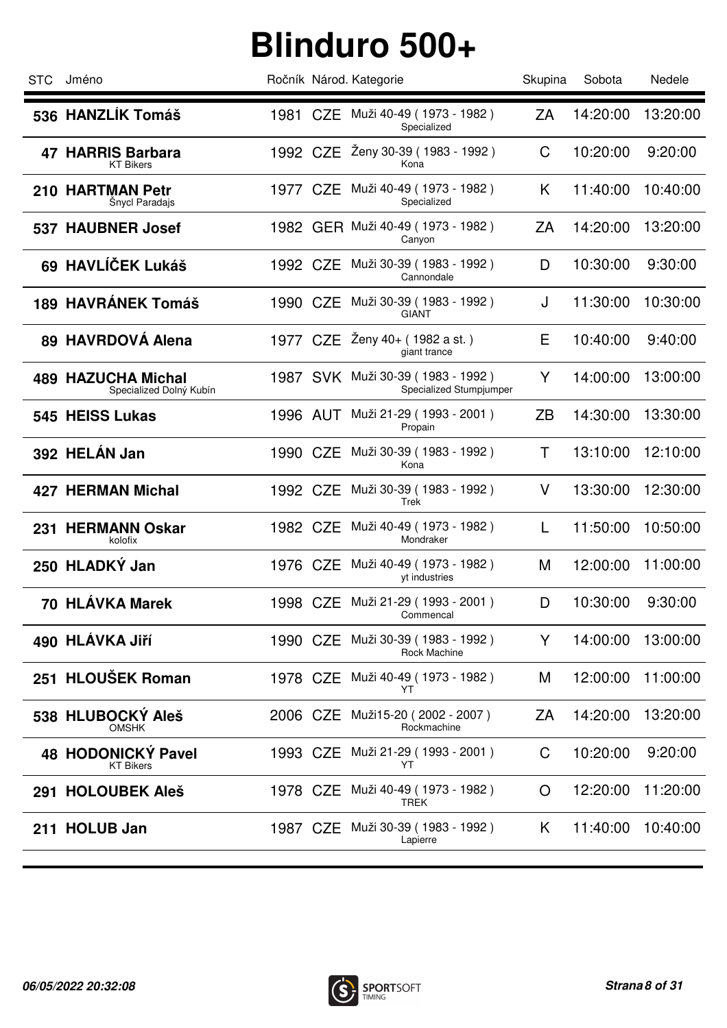| <b>STC</b> | Jméno                                                |          |          | Ročník Národ. Kategorie                                      | Skupina   | Sobota   | Nedele   |
|------------|------------------------------------------------------|----------|----------|--------------------------------------------------------------|-----------|----------|----------|
|            | 536 HANZLÍK Tomáš                                    |          |          | 1981 CZE Muži 40-49 (1973 - 1982)<br>Specialized             | ZA        | 14:20:00 | 13:20:00 |
|            | 47 HARRIS Barbara<br><b>KT Bikers</b>                |          |          | 1992 CZE Ženy 30-39 (1983 - 1992)<br>Kona                    | C         | 10:20:00 | 9:20:00  |
|            | 210 HARTMAN Petr<br>Šnycl Paradajs                   | 1977 CZE |          | Muži 40-49 (1973 - 1982)<br>Specialized                      | K         | 11:40:00 | 10:40:00 |
|            | 537 HAUBNER Josef                                    |          |          | 1982 GER Muži 40-49 (1973 - 1982)<br>Canyon                  | ZA        | 14:20:00 | 13:20:00 |
|            | 69 HAVLÍČEK Lukáš                                    | 1992 CZE |          | Muži 30-39 (1983 - 1992)<br>Cannondale                       | D         | 10:30:00 | 9:30:00  |
|            | <b>189 HAVRÁNEK Tomáš</b>                            | 1990 CZE |          | Muži 30-39 (1983 - 1992)<br><b>GIANT</b>                     | J         | 11:30:00 | 10:30:00 |
|            | 89 HAVRDOVÁ Alena                                    | 1977 CZE |          | Zeny 40+ (1982 a st.)<br>giant trance                        | Ε         | 10:40:00 | 9:40:00  |
|            | <b>489 HAZUCHA Michal</b><br>Specialized Dolný Kubín |          |          | 1987 SVK Muži 30-39 (1983 - 1992)<br>Specialized Stumpjumper | Y         | 14:00:00 | 13:00:00 |
|            | 545 HEISS Lukas                                      |          | 1996 AUT | Muži 21-29 (1993 - 2001)<br>Propain                          | <b>ZB</b> | 14:30:00 | 13:30:00 |
|            | 392 HELÁN Jan                                        | 1990 CZE |          | Muži 30-39 (1983 - 1992)<br>Kona                             | Τ         | 13:10:00 | 12:10:00 |
|            | <b>427 HERMAN Michal</b>                             | 1992 CZE |          | Muži 30-39 (1983 - 1992)<br>Trek                             | $\vee$    | 13:30:00 | 12:30:00 |
|            | 231 HERMANN Oskar<br>kolofix                         |          | 1982 CZE | Muži 40-49 (1973 - 1982)<br>Mondraker                        | L         | 11:50:00 | 10:50:00 |
|            | 250 HLADKÝ Jan                                       |          |          | 1976 CZE Muži 40-49 (1973 - 1982)<br>yt industries           | M         | 12:00:00 | 11:00:00 |
|            | 70 HLÁVKA Marek                                      |          |          | 1998 CZE Muži 21-29 (1993 - 2001)<br>Commencal               | D         | 10:30:00 | 9:30:00  |
|            | 490 HLÁVKA Jiří                                      | 1990 CZE |          | Muži 30-39 (1983 - 1992)<br>Rock Machine                     | Y         | 14:00:00 | 13:00:00 |
|            | 251 HLOUŠEK Roman                                    |          | 1978 CZE | Muži 40-49 (1973 - 1982)<br>YT                               | M         | 12:00:00 | 11:00:00 |
|            | 538 HLUBOCKÝ Aleš<br><b>OMSHK</b>                    | 2006 CZE |          | Muži15-20 (2002 - 2007)<br>Rockmachine                       | ZA        | 14:20:00 | 13:20:00 |
|            | 48 HODONICKY Pavel<br><b>KT Bikers</b>               |          | 1993 CZE | Muži 21-29 (1993 - 2001)<br>YT                               | C         | 10:20:00 | 9:20:00  |
| 291        | <b>HOLOUBEK Aleš</b>                                 |          | 1978 CZE | Muži 40-49 (1973 - 1982)<br><b>TREK</b>                      | O         | 12:20:00 | 11:20:00 |
|            | 211 HOLUB Jan                                        |          |          | 1987 CZE Muži 30-39 (1983 - 1992)<br>Lapierre                | K         | 11:40:00 | 10:40:00 |
|            |                                                      |          |          |                                                              |           |          |          |

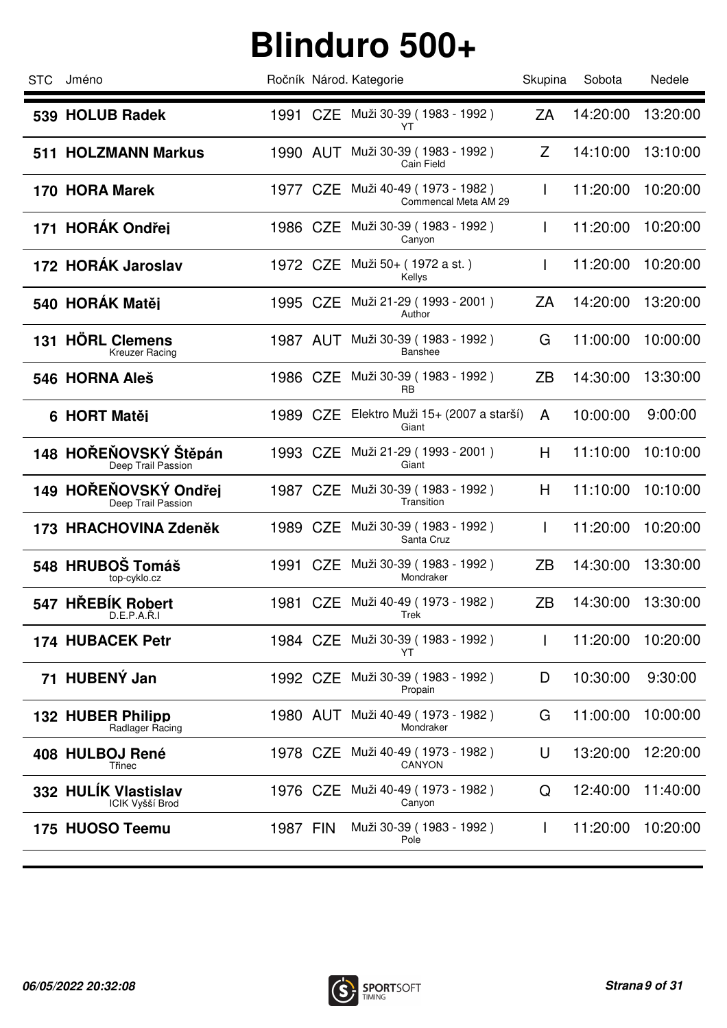| <b>STC</b> | Jméno                                       |          | Ročník Národ. Kategorie                            | Skupina      | Sobota   | Nedele   |
|------------|---------------------------------------------|----------|----------------------------------------------------|--------------|----------|----------|
|            | 539 HOLUB Radek                             |          | 1991 CZE Muži 30-39 (1983 - 1992)<br>YT            | ZA           | 14:20:00 | 13:20:00 |
|            | 511 HOLZMANN Markus                         |          | 1990 AUT Muži 30-39 (1983 - 1992)<br>Cain Field    | Z            | 14:10:00 | 13:10:00 |
|            | 170 HORA Marek                              | 1977 CZE | Muži 40-49 (1973 - 1982)<br>Commencal Meta AM 29   | $\mathbf{I}$ | 11:20:00 | 10:20:00 |
|            | 171 HORÁK Ondřej                            |          | 1986 CZE Muži 30-39 (1983 - 1992)<br>Canyon        | L            | 11:20:00 | 10:20:00 |
|            | 172 HORÁK Jaroslav                          | 1972 CZE | Muži 50+ ( 1972 a st. )<br>Kellys                  | L            | 11:20:00 | 10:20:00 |
|            | 540 HORÁK Matěj                             | 1995 CZE | Muži 21-29 (1993 - 2001)<br>Author                 | ZA           | 14:20:00 | 13:20:00 |
|            | 131 HÖRL Clemens<br><b>Kreuzer Racing</b>   | 1987 AUT | Muži 30-39 (1983 - 1992)<br><b>Banshee</b>         | G            | 11:00:00 | 10:00:00 |
|            | 546 HORNA Aleš                              | 1986 CZE | Muži 30-39 (1983 - 1992)<br><b>RB</b>              | ZB           | 14:30:00 | 13:30:00 |
|            | 6 HORT Matěj                                |          | 1989 CZE Elektro Muži 15+ (2007 a starší)<br>Giant | A            | 10:00:00 | 9:00:00  |
|            | 148 HOŘEŇOVSKÝ Štěpán<br>Deep Trail Passion | 1993 CZE | Muži 21-29 (1993 - 2001)<br>Giant                  | H            | 11:10:00 | 10:10:00 |
|            | 149 HOŘEŇOVSKÝ Ondřej<br>Deep Trail Passion |          | 1987 CZE Muži 30-39 (1983 - 1992)<br>Transition    | H            | 11:10:00 | 10:10:00 |
|            | 173 HRACHOVINA Zdeněk                       |          | 1989 CZE Muži 30-39 (1983 - 1992)<br>Santa Cruz    | L            | 11:20:00 | 10:20:00 |
|            | 548 HRUBOŠ Tomáš<br>top-cyklo.cz            |          | 1991 CZE Muži 30-39 (1983 - 1992)<br>Mondraker     | ZΒ           | 14:30:00 | 13:30:00 |
|            | 547 HŘEBÍK Robert<br>D.E.P.A.K.I            |          | 1981 CZE Muži 40-49 (1973 - 1982)<br>Trek          | ZB           | 14:30:00 | 13:30:00 |
|            | <b>174 HUBACEK Petr</b>                     | 1984 CZE | Muži 30-39 (1983 - 1992)<br>YT                     | $\mathbf{I}$ | 11:20:00 | 10:20:00 |
|            | 71 HUBENÝ Jan                               | 1992 CZE | Muži 30-39 (1983 - 1992)<br>Propain                | D            | 10:30:00 | 9:30:00  |
|            | 132 HUBER Philipp<br>Radlager Racing        |          | 1980 AUT Muži 40-49 (1973 - 1982)<br>Mondraker     | G            | 11:00:00 | 10:00:00 |
|            | 408 HULBOJ René<br>Třinec                   | 1978 CZE | Muži 40-49 (1973 - 1982)<br>CANYON                 | U            | 13:20:00 | 12:20:00 |
|            | 332 HULIK Vlastislav<br>ICIK Vyšší Brod     | 1976 CZE | Muži 40-49 ( 1973 - 1982 )<br>Canyon               | Q            | 12:40:00 | 11:40:00 |
|            | 175 HUOSO Teemu                             | 1987 FIN | Muži 30-39 (1983 - 1992)<br>Pole                   | $\mathbf{I}$ | 11:20:00 | 10:20:00 |
|            |                                             |          |                                                    |              |          |          |

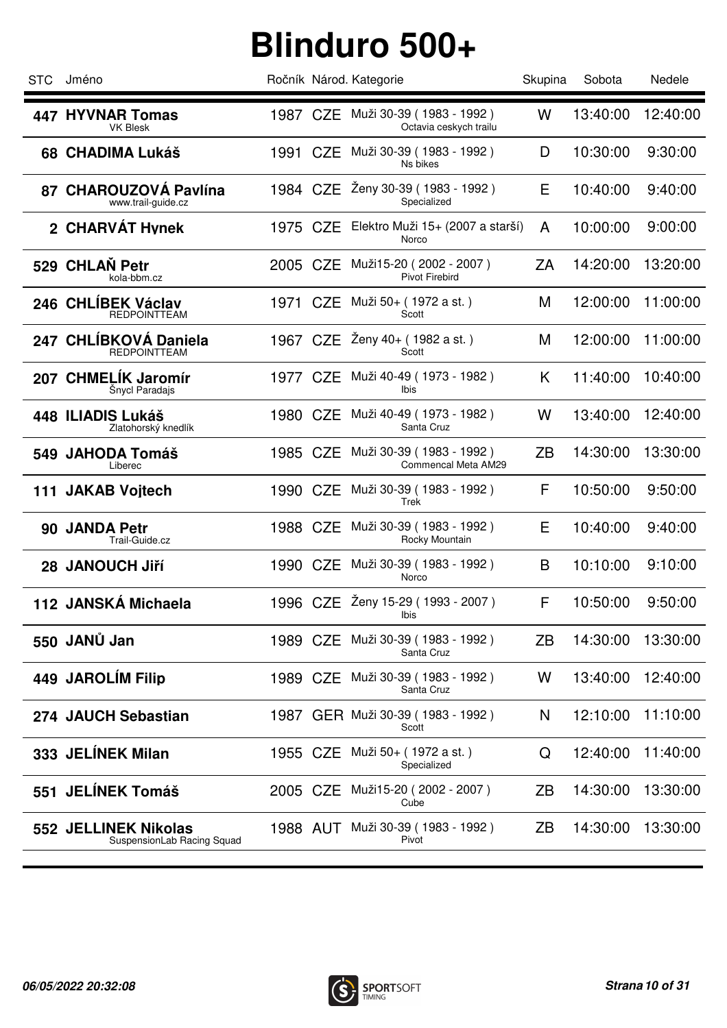| <b>STC</b> | Jméno                                              |          | Ročník Národ. Kategorie                                     | Skupina | Sobota   | Nedele   |
|------------|----------------------------------------------------|----------|-------------------------------------------------------------|---------|----------|----------|
|            | <b>447 HYVNAR Tomas</b><br><b>VK Blesk</b>         |          | 1987 CZE Muži 30-39 (1983 - 1992)<br>Octavia ceskych trailu | W       | 13:40:00 | 12:40:00 |
|            | <b>68 CHADIMA Lukáš</b>                            | 1991 CZE | Muži 30-39 (1983 - 1992)<br>Ns bikes                        | D       | 10:30:00 | 9:30:00  |
|            | 87 CHAROUZOVÁ Pavlína<br>www.trail-guide.cz        | 1984 CZE | Ženy 30-39 (1983 - 1992)<br>Specialized                     | Е       | 10:40:00 | 9:40:00  |
|            | 2 CHARVÁT Hynek                                    | 1975 CZE | Elektro Muži 15+ (2007 a starší)<br>Norco                   | A       | 10:00:00 | 9:00:00  |
|            | 529 CHLAN Petr<br>kola-bbm.cz                      | 2005 CZE | Muži15-20 (2002 - 2007)<br><b>Pivot Firebird</b>            | ZA      | 14:20:00 | 13:20:00 |
|            | 246 CHLÍBEK Václav<br><b>REDPOINTTEAM</b>          | 1971 CZE | Muži 50+ (1972 a st.)<br>Scott                              | M       | 12:00:00 | 11:00:00 |
|            | 247 CHLÍBKOVÁ Daniela<br><b>REDPOINTTEAM</b>       | 1967 CZE | Zeny 40+ (1982 a st.)<br>Scott                              | M       | 12:00:00 | 11:00:00 |
|            | 207 CHMELÍK Jaromír<br>Šnycl Paradajs              | 1977 CZE | Muži 40-49 (1973 - 1982)<br>Ibis                            | K       | 11:40:00 | 10:40:00 |
|            | 448 ILIADIS Lukáš<br>Zlatohorský knedlík           | 1980 CZE | Muži 40-49 (1973 - 1982)<br>Santa Cruz                      | W       | 13:40:00 | 12:40:00 |
|            | 549 JAHODA Tomáš<br>Liberec                        | 1985 CZE | Muži 30-39 (1983 - 1992)<br>Commencal Meta AM29             | ZB      | 14:30:00 | 13:30:00 |
|            | 111 JAKAB Voitech                                  | 1990 CZE | Muži 30-39 (1983 - 1992)<br>Trek                            | F       | 10:50:00 | 9:50:00  |
|            | 90 JANDA Petr<br>Trail-Guide.cz                    | 1988 CZE | Muži 30-39 (1983 - 1992)<br>Rocky Mountain                  | E       | 10:40:00 | 9:40:00  |
|            | 28 JANOUCH Jiří                                    | 1990 CZE | Muži 30-39 (1983 - 1992)<br>Norco                           | B       | 10:10:00 | 9:10:00  |
|            | 112 JANSKÁ Michaela                                |          | 1996 CZE Zeny 15-29 (1993 - 2007)<br>Ibis                   | F       | 10:50:00 | 9:50:00  |
|            | 550 JANŮ Jan                                       | 1989 CZE | Muži 30-39 (1983 - 1992)<br>Santa Cruz                      | ZB      | 14:30:00 | 13:30:00 |
|            | 449 JAROLÍM Filip                                  | 1989 CZE | Muži 30-39 (1983 - 1992)<br>Santa Cruz                      | W       | 13:40:00 | 12:40:00 |
|            | 274 JAUCH Sebastian                                |          | 1987 GER Muži 30-39 (1983 - 1992)<br>Scott                  | N       | 12:10:00 | 11:10:00 |
|            | 333 JELÍNEK Milan                                  |          | 1955 CZE Muži 50+ (1972 a st.)<br>Specialized               | Q       | 12:40:00 | 11:40:00 |
| 551        | <b>JELÍNEK Tomáš</b>                               | 2005 CZE | Muži15-20 (2002 - 2007)<br>Cube                             | ZΒ      | 14:30:00 | 13:30:00 |
|            | 552 JELLINEK Nikolas<br>SuspensionLab Racing Squad |          | 1988 AUT Muži 30-39 (1983 - 1992)<br>Pivot                  | ZΒ      | 14:30:00 | 13:30:00 |
|            |                                                    |          |                                                             |         |          |          |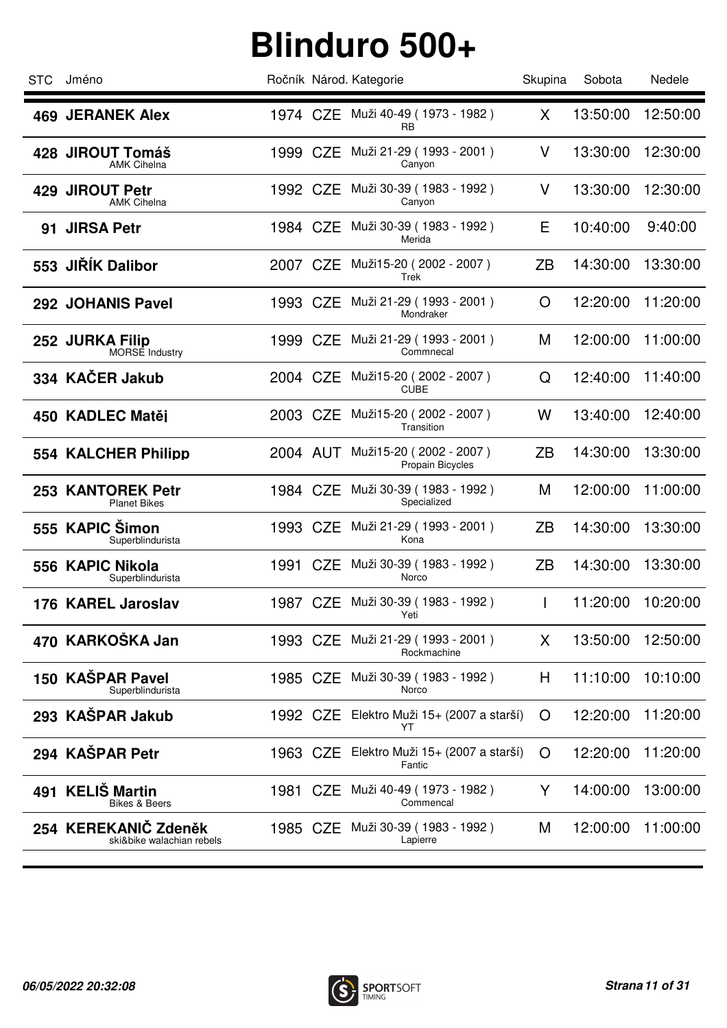| 1974 CZE Muži 40-49 (1973 - 1982)<br><b>469 JERANEK Alex</b>                                                   | X         |          |          |
|----------------------------------------------------------------------------------------------------------------|-----------|----------|----------|
| <b>RB</b>                                                                                                      |           | 13:50:00 | 12:50:00 |
| 1999 CZE Muži 21-29 (1993 - 2001)<br>428 JIROUT Tomáš<br><b>AMK Cihelna</b><br>Canyon                          | $\vee$    | 13:30:00 | 12:30:00 |
| Muži 30-39 (1983 - 1992)<br>1992 CZE<br><b>JIROUT Petr</b><br>429<br><b>AMK Cihelna</b><br>Canyon              | V         | 13:30:00 | 12:30:00 |
| Muži 30-39 (1983 - 1992)<br>91 JIRSA Petr<br>1984 CZE<br>Merida                                                | Е         | 10:40:00 | 9:40:00  |
| 553 JIRIK Dalibor<br>Muži15-20 (2002 - 2007)<br>2007 CZE<br>Trek                                               | ZB        | 14:30:00 | 13:30:00 |
| Muži 21-29 (1993 - 2001)<br>1993 CZE<br>292 JOHANIS Pavel<br>Mondraker                                         | O         | 12:20:00 | 11:20:00 |
| Muži 21-29 (1993 - 2001)<br>1999 CZE<br>252 JURKA Filip<br>Commnecal<br><b>MORSE Industry</b>                  | M         | 12:00:00 | 11:00:00 |
| 334 KAČER Jakub<br>Muži15-20 (2002 - 2007)<br>2004 CZE<br><b>CUBE</b>                                          | Q         | 12:40:00 | 11:40:00 |
| Muži15-20 (2002 - 2007)<br>2003 CZE<br>450 KADLEC Matěi<br>Transition                                          | W         | 13:40:00 | 12:40:00 |
| Muži15-20 (2002 - 2007)<br>554 KALCHER Philipp<br>2004 AUT<br>Propain Bicycles                                 | <b>ZB</b> | 14:30:00 | 13:30:00 |
| Muži 30-39 (1983 - 1992)<br>1984 CZE<br>253 KANTOREK Petr<br>Specialized<br><b>Planet Bikes</b>                | M         | 12:00:00 | 11:00:00 |
| 555 KAPIC Šimon<br>Muži 21-29 (1993 - 2001)<br>1993 CZE<br>Kona<br>Superblindurista                            | ZB        | 14:30:00 | 13:30:00 |
| 1991 CZE Muži 30-39 (1983 - 1992)<br>556 KAPIC Nikola<br>Norco<br>Superblindurista                             | ZΒ        | 14:30:00 | 13:30:00 |
| 1987 CZE Muži 30-39 (1983 - 1992)<br>176 KAREL Jaroslav<br>Yeti                                                | L         | 11:20:00 | 10:20:00 |
| 470 KARKOŠKA Jan<br>Muži 21-29 (1993 - 2001)<br>1993 CZE<br>Rockmachine                                        | X         | 13:50:00 | 12:50:00 |
| 150 KAŠPAR Pavel<br>Muži 30-39 (1983 - 1992)<br>1985 CZE<br>Norco<br>Superblindurista                          | H         | 11:10:00 | 10:10:00 |
| 293 KAŠPAR Jakub<br>Elektro Muži 15+ (2007 a starší)<br>1992 CZE<br>YT                                         | O         | 12:20:00 | 11:20:00 |
| 294 KAŠPAR Petr<br>1963 CZE Elektro Muži 15+ (2007 a starší)<br>Fantic                                         | O         | 12:20:00 | 11:20:00 |
| <b>KELIŠ Martin</b><br>Muži 40-49 (1973 - 1982)<br>1981<br>CZE<br>491<br>Commencal<br><b>Bikes &amp; Beers</b> | Y         | 14:00:00 | 13:00:00 |
| 254 KEREKANIČ Zdeněk<br>Muži 30-39 (1983 - 1992)<br>1985 CZE<br>ski&bike walachian rebels<br>Lapierre          | M         | 12:00:00 | 11:00:00 |

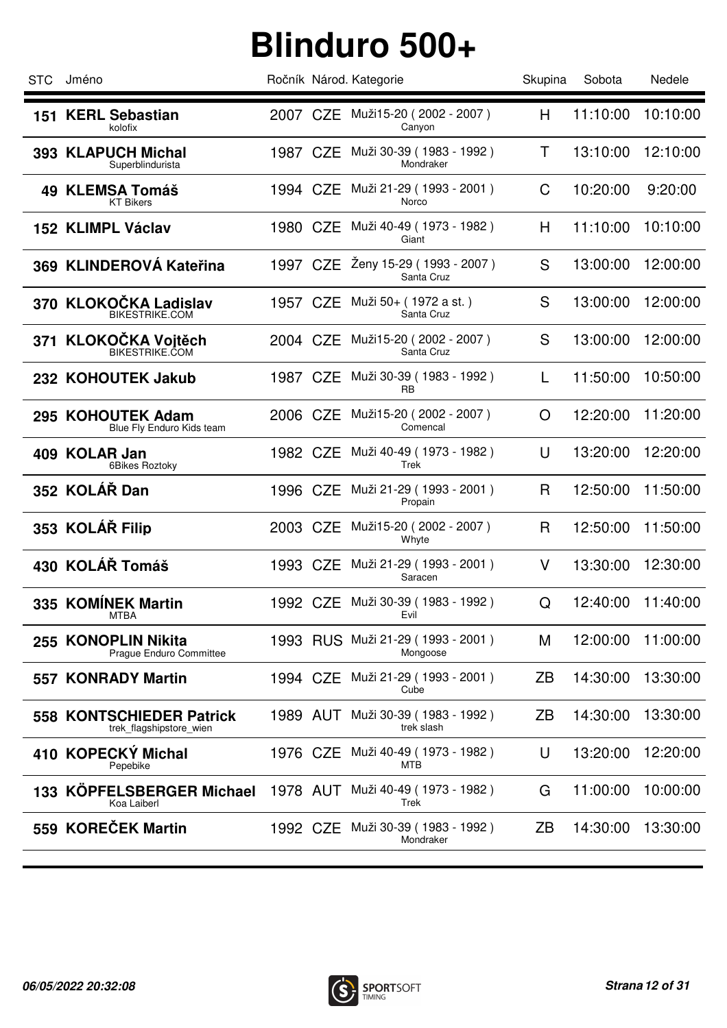| <b>STC</b> | Jméno                                                      |          |          | Ročník Národ. Kategorie                        | Skupina | Sobota   | Nedele   |
|------------|------------------------------------------------------------|----------|----------|------------------------------------------------|---------|----------|----------|
|            | 151 KERL Sebastian<br>kolofix                              |          |          | 2007 CZE Muži15-20 (2002 - 2007)<br>Canyon     | H       | 11:10:00 | 10:10:00 |
|            | 393 KLAPUCH Michal<br>Superblindurista                     | 1987 CZE |          | Muži 30-39 (1983 - 1992)<br>Mondraker          | Т       | 13:10:00 | 12:10:00 |
|            | 49 KLEMSA Tomáš<br><b>KT Bikers</b>                        | 1994 CZE |          | Muži 21-29 (1993 - 2001)<br>Norco              | C       | 10:20:00 | 9:20:00  |
|            | 152 KLIMPL Václav                                          | 1980 CZE |          | Muži 40-49 (1973 - 1982)<br>Giant              | H       | 11:10:00 | 10:10:00 |
|            | 369 KLINDEROVÁ Kateřina                                    | 1997 CZE |          | Ženy 15-29 (1993 - 2007)<br>Santa Cruz         | S       | 13:00:00 | 12:00:00 |
|            | 370 KLOKOČKA Ladislav<br>BIKESTRIKE.COM                    | 1957 CZE |          | Muži 50+ ( 1972 a st. )<br>Santa Cruz          | S       | 13:00:00 | 12:00:00 |
|            | 371 KLOKOČKA Vojtěch<br><b>BIKESTRIKE.COM</b>              | 2004 CZE |          | Muži15-20 (2002 - 2007)<br>Santa Cruz          | S       | 13:00:00 | 12:00:00 |
|            | 232 KOHOUTEK Jakub                                         | 1987 CZE |          | Muži 30-39 (1983 - 1992)<br>RB                 | L       | 11:50:00 | 10:50:00 |
|            | 295 KOHOUTEK Adam<br>Blue Fly Enduro Kids team             | 2006 CZE |          | Muži15-20 (2002 - 2007)<br>Comencal            | O       | 12:20:00 | 11:20:00 |
|            | 409 KOLAR Jan<br>6Bikes Roztoky                            | 1982 CZE |          | Muži 40-49 (1973 - 1982)<br>Trek               | U       | 13:20:00 | 12:20:00 |
|            | 352 KOLÁŘ Dan                                              | 1996 CZE |          | Muži 21-29 (1993 - 2001)<br>Propain            | R       | 12:50:00 | 11:50:00 |
|            | 353 KOLÁŘ Filip                                            | 2003 CZE |          | Muži15-20 (2002 - 2007)<br>Whyte               | R       | 12:50:00 | 11:50:00 |
|            | 430 KOLÁŘ Tomáš                                            |          |          | 1993 CZE Muži 21-29 (1993 - 2001)<br>Saracen   | V       | 13:30:00 | 12:30:00 |
|            | 335 KOMÍNEK Martin<br>MTBA                                 |          |          | 1992 CZE Muži 30-39 (1983 - 1992)<br>Evil      | Q       | 12:40:00 | 11:40:00 |
|            | 255 KONOPLIN Nikita<br>Prague Enduro Committee             |          |          | 1993 RUS Muži 21-29 (1993 - 2001)<br>Mongoose  | М       | 12:00:00 | 11:00:00 |
|            | 557 KONRADY Martin                                         | 1994 CZE |          | Muži 21-29 (1993 - 2001)<br>Cube               | ZΒ      | 14:30:00 | 13:30:00 |
|            | <b>558 KONTSCHIEDER Patrick</b><br>trek_flagshipstore_wien |          | 1989 AUT | Muži 30-39 (1983 - 1992)<br>trek slash         | ZΒ      | 14:30:00 | 13:30:00 |
|            | 410 KOPECKY Michal<br>Pepebike                             | 1976 CZE |          | Muži 40-49 (1973 - 1982)<br>мтв                | U       | 13:20:00 | 12:20:00 |
| 133        | <b>KÖPFELSBERGER Michael</b><br>Koa Laiberl                |          |          | 1978 AUT Muži 40-49 (1973 - 1982)<br>Trek      | G       | 11:00:00 | 10:00:00 |
|            | 559 KOREČEK Martin                                         |          |          | 1992 CZE Muži 30-39 (1983 - 1992)<br>Mondraker | ZΒ      | 14:30:00 | 13:30:00 |
|            |                                                            |          |          |                                                |         |          |          |

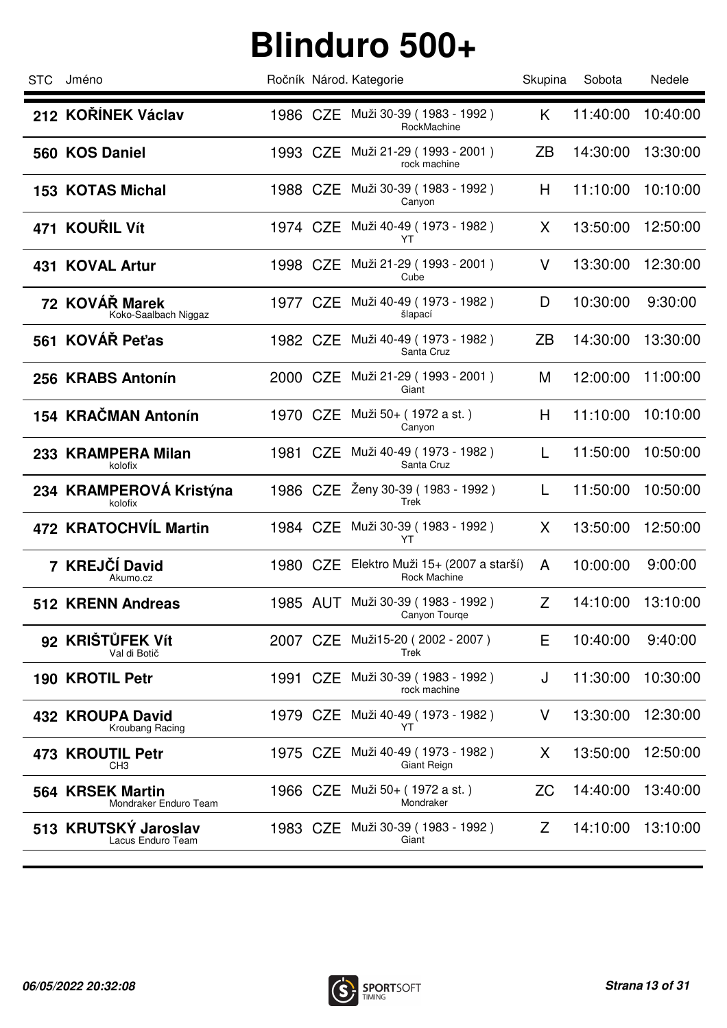| <b>STC</b> | Jméno                                     |          | Ročník Národ. Kategorie                                   | Skupina   | Sobota   | Nedele   |
|------------|-------------------------------------------|----------|-----------------------------------------------------------|-----------|----------|----------|
|            | 212 KOŘÍNEK Václav                        |          | 1986 CZE Muži 30-39 (1983 - 1992)<br>RockMachine          | K         | 11:40:00 | 10:40:00 |
|            | 560 KOS Daniel                            | 1993 CZE | Muži 21-29 ( 1993 - 2001 )<br>rock machine                | ZΒ        | 14:30:00 | 13:30:00 |
|            | <b>153 KOTAS Michal</b>                   | 1988 CZE | Muži 30-39 (1983 - 1992)<br>Canyon                        | H         | 11:10:00 | 10:10:00 |
|            | 471 KOUŘIL Vít                            |          | 1974 CZE Muži 40-49 (1973 - 1982)<br>YT                   | X         | 13:50:00 | 12:50:00 |
|            | 431 KOVAL Artur                           | 1998 CZE | Muži 21-29 (1993 - 2001)<br>Cube                          | V         | 13:30:00 | 12:30:00 |
|            | 72 KOVÁŘ Marek<br>Koko-Saalbach Niggaz    | 1977 CZE | Muži 40-49 (1973 - 1982)<br>šlapací                       | D         | 10:30:00 | 9:30:00  |
|            | 561 KOVÁŘ Peťas                           | 1982 CZE | Muži 40-49 (1973 - 1982)<br>Santa Cruz                    | ZΒ        | 14:30:00 | 13:30:00 |
|            | 256 KRABS Antonín                         | 2000 CZE | Muži 21-29 (1993 - 2001)<br>Giant                         | M         | 12:00:00 | 11:00:00 |
|            | 154 KRAČMAN Antonín                       |          | 1970 CZE Muži 50+ (1972 a st.)<br>Canyon                  | H         | 11:10:00 | 10:10:00 |
|            | 233 KRAMPERA Milan<br>kolofix             | 1981 CZE | Muži 40-49 (1973 - 1982)<br>Santa Cruz                    | L         | 11:50:00 | 10:50:00 |
|            | 234 KRAMPEROVÁ Kristýna<br>kolofix        |          | 1986 CZE Ženy 30-39 (1983 - 1992)<br>Trek                 | L         | 11:50:00 | 10:50:00 |
|            | 472 KRATOCHVÍL Martin                     |          | 1984 CZE Muži 30-39 (1983 - 1992)<br>YT                   | X.        | 13:50:00 | 12:50:00 |
|            | 7 KREJČÍ David<br>Akumo.cz                |          | 1980 CZE Elektro Muži 15+ (2007 a starší)<br>Rock Machine | A         | 10:00:00 | 9:00:00  |
|            | 512 KRENN Andreas                         | 1985 AUT | Muži 30-39 (1983 - 1992)<br>Canyon Tourge                 | Z         | 14:10:00 | 13:10:00 |
|            | 92 KRIŠTŮFEK Vít<br>Val di Botič          | 2007 CZE | Muži15-20 (2002 - 2007)<br>Trek                           | Е         | 10:40:00 | 9:40:00  |
|            | 190 KROTIL Petr                           | 1991 CZE | Muži 30-39 (1983 - 1992)<br>rock machine                  | J         | 11:30:00 | 10:30:00 |
|            | 432 KROUPA David<br>Kroubang Racing       | 1979 CZE | Muži 40-49 (1973 - 1982)<br>YT                            | V         | 13:30:00 | 12:30:00 |
| 473        | <b>KROUTIL Petr</b><br>CH <sub>3</sub>    | 1975 CZE | Muži 40-49 (1973 - 1982)<br>Giant Reign                   | X         | 13:50:00 | 12:50:00 |
|            | 564 KRSEK Martin<br>Mondraker Enduro Team | 1966 CZE | Muži 50+ ( 1972 a st. )<br>Mondraker                      | <b>ZC</b> | 14:40:00 | 13:40:00 |
|            | 513 KRUTSKÝ Jaroslav<br>Lacus Enduro Team | 1983 CZE | Muži 30-39 (1983 - 1992)<br>Giant                         | Z         | 14:10:00 | 13:10:00 |
|            |                                           |          |                                                           |           |          |          |

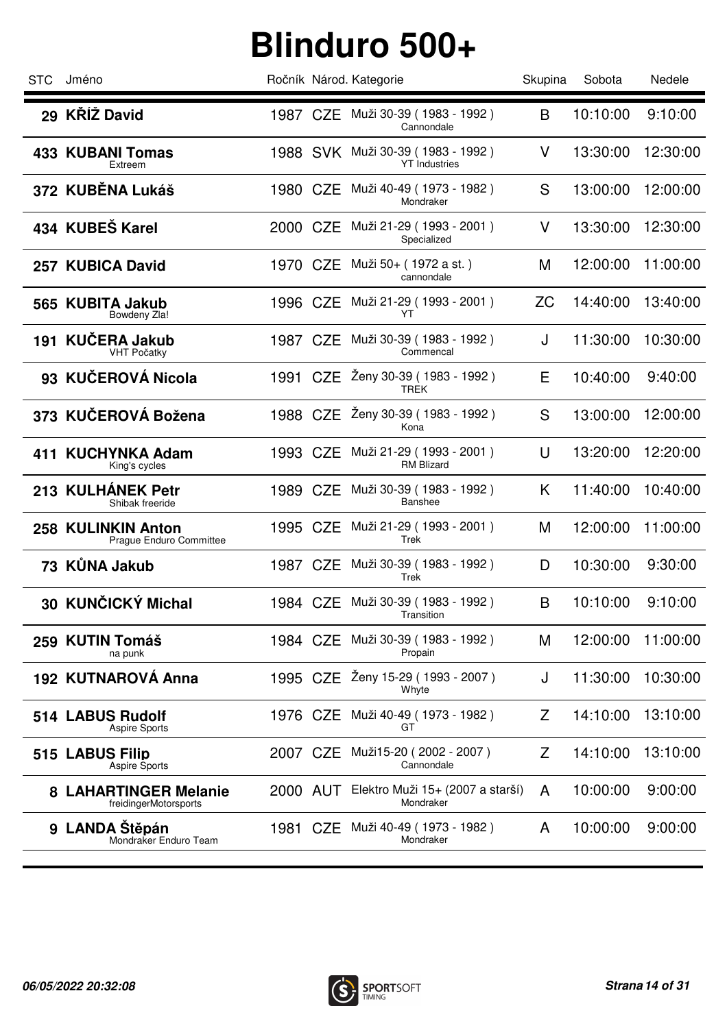| <b>STC</b> | Jméno                                               |          | Ročník Národ. Kategorie                                   | Skupina   | Sobota   | Nedele   |
|------------|-----------------------------------------------------|----------|-----------------------------------------------------------|-----------|----------|----------|
|            | 29 KŘÍŽ David                                       |          | 1987 CZE Muži 30-39 (1983 - 1992)<br>Cannondale           | B         | 10:10:00 | 9:10:00  |
|            | <b>433 KUBANI Tomas</b><br>Extreem                  |          | 1988 SVK Muži 30-39 (1983 - 1992)<br><b>YT</b> Industries | V         | 13:30:00 | 12:30:00 |
|            | 372 KUBĚNA Lukáš                                    | 1980 CZE | Muži 40-49 (1973 - 1982)<br>Mondraker                     | S         | 13:00:00 | 12:00:00 |
|            | 434 KUBEŠ Karel                                     |          | 2000 CZE Muži 21-29 (1993 - 2001)<br>Specialized          | V         | 13:30:00 | 12:30:00 |
|            | 257 KUBICA David                                    | 1970 CZE | Muži 50+ (1972 a st.)<br>cannondale                       | M         | 12:00:00 | 11:00:00 |
|            | 565 KUBITA Jakub<br>Bowdeny Zla!                    | 1996 CZE | Muži 21-29 (1993 - 2001)<br>YT                            | <b>ZC</b> | 14:40:00 | 13:40:00 |
|            | 191 KUČERA Jakub<br><b>VHT Počatky</b>              | 1987 CZE | Muži 30-39 (1983 - 1992)<br>Commencal                     | J         | 11:30:00 | 10:30:00 |
|            | 93 KUČEROVÁ Nicola                                  |          | 1991 CZE Żeny 30-39 (1983 - 1992)<br>TREK                 | Е         | 10:40:00 | 9:40:00  |
|            | 373 KUČEROVÁ Božena                                 |          | 1988 CZE Ženy 30-39 (1983 - 1992)<br>Kona                 | S         | 13:00:00 | 12:00:00 |
|            | 411 KUCHYNKA Adam<br>King's cycles                  | 1993 CZE | Muži 21-29 ( 1993 - 2001 )<br><b>RM Blizard</b>           | U         | 13:20:00 | 12:20:00 |
|            | 213 KULHÁNEK Petr<br>Shibak freeride                | 1989 CZE | Muži 30-39 (1983 - 1992)<br>Banshee                       | K         | 11:40:00 | 10:40:00 |
|            | 258 KULINKIN Anton<br>Prague Enduro Committee       | 1995 CZE | Muži 21-29 ( 1993 - 2001 )<br>Trek                        | M         | 12:00:00 | 11:00:00 |
|            | 73 KŮNA Jakub                                       |          | 1987 CZE Muži 30-39 (1983 - 1992)<br>Trek                 | D         | 10:30:00 | 9:30:00  |
|            | 30 KUNČICKÝ Michal                                  |          | 1984 CZE Muži 30-39 (1983 - 1992)<br>Transition           | B         | 10:10:00 | 9:10:00  |
|            | 259 KUTIN Tomáš<br>na punk                          | 1984 CZE | Muži 30-39 (1983 - 1992)<br>Propain                       | M         | 12:00:00 | 11:00:00 |
|            | 192 KUTNAROVÁ Anna                                  |          | 1995 CZE Ženy 15-29 (1993 - 2007)<br>Whyte                | J         | 11:30:00 | 10:30:00 |
|            | 514 LABUS Rudolf<br><b>Aspire Sports</b>            | 1976 CZE | Muži 40-49 (1973 - 1982)<br>GТ                            | Z         | 14:10:00 | 13:10:00 |
|            | 515 LABUS Filip<br><b>Aspire Sports</b>             | 2007 CZE | Muži15-20 (2002 - 2007)<br>Cannondale                     | Z         | 14:10:00 | 13:10:00 |
| 8          | <b>LAHARTINGER Melanie</b><br>freidingerMotorsports |          | 2000 AUT Elektro Muži 15+ (2007 a starší)<br>Mondraker    | A         | 10:00:00 | 9:00:00  |
| 9          | <b>LANDA Stěpán</b><br>Mondraker Enduro Team        | 1981 CZE | Muži 40-49 (1973 - 1982)<br>Mondraker                     | A         | 10:00:00 | 9:00:00  |
|            |                                                     |          |                                                           |           |          |          |

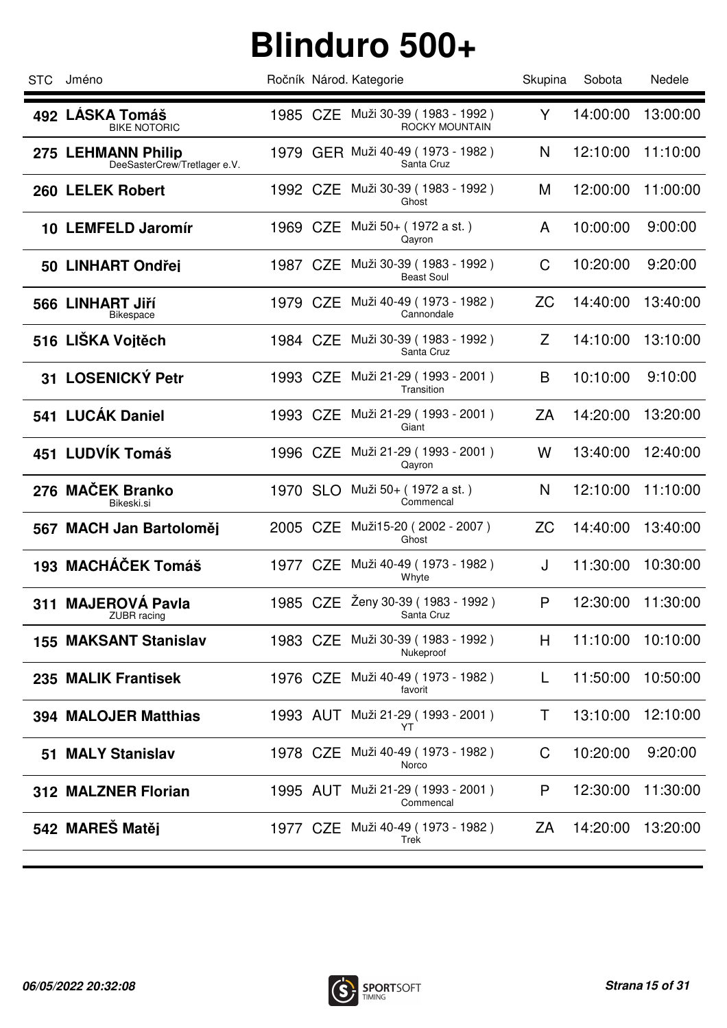| <b>STC</b> | Jméno                                              |          | Ročník Národ. Kategorie                             | Skupina   | Sobota   | Nedele   |
|------------|----------------------------------------------------|----------|-----------------------------------------------------|-----------|----------|----------|
|            | 492 LÁSKA Tomáš<br><b>BIKE NOTORIC</b>             |          | 1985 CZE Muži 30-39 (1983 - 1992)<br>ROCKY MOUNTAIN | Y         | 14:00:00 | 13:00:00 |
|            | 275 LEHMANN Philip<br>DeeSasterCrew/Tretlager e.V. |          | 1979 GER Muži 40-49 (1973 - 1982)<br>Santa Cruz     | N         | 12:10:00 | 11:10:00 |
|            | 260 LELEK Robert                                   | 1992 CZE | Muži 30-39 (1983 - 1992)<br>Ghost                   | M         | 12:00:00 | 11:00:00 |
|            | 10 LEMFELD Jaromír                                 | 1969 CZE | Muži 50+ (1972 a st.)<br>Qayron                     | A         | 10:00:00 | 9:00:00  |
|            | 50 LINHART Ondřei                                  | 1987 CZE | Muži 30-39 (1983 - 1992)<br><b>Beast Soul</b>       | C         | 10:20:00 | 9:20:00  |
|            | 566 LINHART Jiří<br>Bikespace                      | 1979 CZE | Muži 40-49 ( 1973 - 1982 )<br>Cannondale            | ZC        | 14:40:00 | 13:40:00 |
|            | 516 LIŠKA Vojtěch                                  | 1984 CZE | Muži 30-39 (1983 - 1992)<br>Santa Cruz              | Z         | 14:10:00 | 13:10:00 |
|            | 31 LOSENICKÝ Petr                                  | 1993 CZE | Muži 21-29 (1993 - 2001)<br>Transition              | B         | 10:10:00 | 9:10:00  |
|            | 541 LUCÁK Daniel                                   | 1993 CZE | Muži 21-29 (1993 - 2001)<br>Giant                   | ZA        | 14:20:00 | 13:20:00 |
|            | 451 LUDVÍK Tomáš                                   | 1996 CZE | Muži 21-29 (1993 - 2001)<br>Qayron                  | W         | 13:40:00 | 12:40:00 |
|            | 276 MAČEK Branko<br>Bikeski.si                     | 1970 SLO | Muži 50+ (1972 a st.)<br>Commencal                  | N         | 12:10:00 | 11:10:00 |
|            | 567 MACH Jan Bartoloměj                            | 2005 CZE | Muži15-20 (2002 - 2007)<br>Ghost                    | <b>ZC</b> | 14:40:00 | 13:40:00 |
|            | 193 MACHÁČEK Tomáš                                 |          | 1977 CZE Muži 40-49 (1973 - 1982)<br>Whyte          | J         | 11:30:00 | 10:30:00 |
|            | 311 MAJEROVÁ Pavla<br><b>ZUBR</b> racing           |          | 1985 CZE Ženy 30-39 (1983 - 1992)<br>Santa Cruz     | P         | 12:30:00 | 11:30:00 |
|            | <b>155 MAKSANT Stanislav</b>                       | 1983 CZE | Muži 30-39 (1983 - 1992)<br>Nukeproof               | H.        | 11:10:00 | 10:10:00 |
|            | 235 MALIK Frantisek                                |          | 1976 CZE Muži 40-49 (1973 - 1982)<br>favorit        | L         | 11:50:00 | 10:50:00 |
|            | <b>394 MALOJER Matthias</b>                        |          | 1993 AUT Muži 21-29 (1993 - 2001)<br>YT             | T         | 13:10:00 | 12:10:00 |
|            | 51 MALY Stanislav                                  |          | 1978 CZE Muži 40-49 (1973 - 1982)<br>Norco          | C         | 10:20:00 | 9:20:00  |
|            | 312 MALZNER Florian                                |          | 1995 AUT Muži 21-29 (1993 - 2001)<br>Commencal      | P         | 12:30:00 | 11:30:00 |
|            | 542 MAREŠ Matěj                                    |          | 1977 CZE Muži 40-49 (1973 - 1982)<br>Trek           | ZA        | 14:20:00 | 13:20:00 |
|            |                                                    |          |                                                     |           |          |          |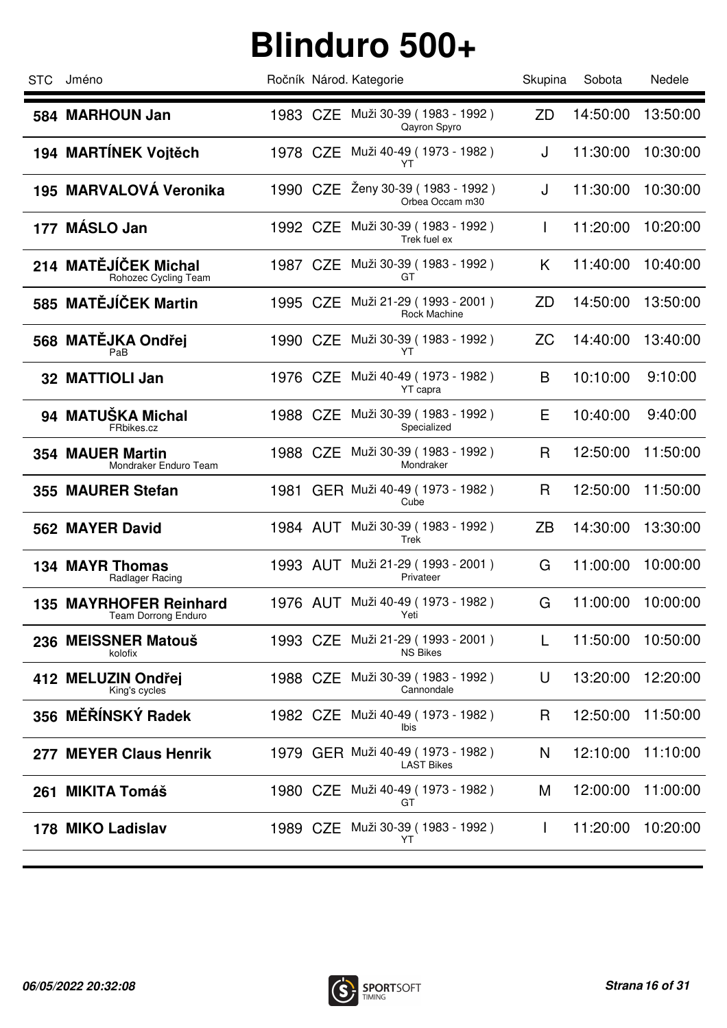| <b>STC</b> | Jméno                                                |          | Ročník Národ. Kategorie                                | Skupina      | Sobota   | Nedele   |
|------------|------------------------------------------------------|----------|--------------------------------------------------------|--------------|----------|----------|
|            | 584 MARHOUN Jan                                      |          | 1983 CZE Muži 30-39 (1983 - 1992)<br>Qayron Spyro      | ZD           | 14:50:00 | 13:50:00 |
|            | 194 MARTÍNEK Voitěch                                 | 1978 CZE | Muži 40-49 ( 1973 - 1982 )<br>YT                       | J            | 11:30:00 | 10:30:00 |
|            | 195 MARVALOVÁ Veronika                               | 1990 CZE | Ženy 30-39 (1983 - 1992)<br>Orbea Occam m30            | J            | 11:30:00 | 10:30:00 |
| 177        | <b>MÁSLO Jan</b>                                     | 1992 CZE | Muži 30-39 (1983 - 1992)<br>Trek fuel ex               |              | 11:20:00 | 10:20:00 |
|            | 214 MATĚJÍČEK Michal<br>Rohozec Cycling Team         | 1987 CZE | Muži 30-39 (1983 - 1992)<br>GT                         | K            | 11:40:00 | 10:40:00 |
|            | 585 MATĚJÍČEK Martin                                 | 1995 CZE | Muži 21-29 (1993 - 2001)<br><b>Rock Machine</b>        | ZD           | 14:50:00 | 13:50:00 |
|            | 568 MATĚJKA Ondřej<br>PaB                            | 1990 CZE | Muži 30-39 (1983 - 1992)<br>YT                         | ΖC           | 14:40:00 | 13:40:00 |
|            | 32 MATTIOLI Jan                                      | 1976 CZE | Muži 40-49 (1973 - 1982)<br>YT capra                   | B            | 10:10:00 | 9:10:00  |
|            | 94 MATUŠKA Michal<br>FRbikes.cz                      | 1988 CZE | Muži 30-39 (1983 - 1992)<br>Specialized                | Ε            | 10:40:00 | 9:40:00  |
|            | <b>354 MAUER Martin</b><br>Mondraker Enduro Team     | 1988 CZE | Muži 30-39 (1983 - 1992)<br>Mondraker                  | R            | 12:50:00 | 11:50:00 |
|            | 355 MAURER Stefan                                    | 1981     | GER Muži 40-49 (1973 - 1982)<br>Cube                   | $\mathsf{R}$ | 12:50:00 | 11:50:00 |
|            | 562 MAYER David                                      | 1984 AUT | Muži 30-39 (1983 - 1992)<br>Trek                       | ZB           | 14:30:00 | 13:30:00 |
|            | <b>134 MAYR Thomas</b><br>Radlager Racing            | 1993 AUT | Muži 21-29 (1993 - 2001)<br>Privateer                  | G            | 11:00:00 | 10:00:00 |
|            | <b>135 MAYRHOFER Reinhard</b><br>Team Dorrong Enduro | 1976 AUT | Muži 40-49 (1973 - 1982)<br>Yeti                       | G            | 11:00:00 | 10:00:00 |
|            | 236 MEISSNER Matouš<br>kolofix                       | 1993 CZE | Muži 21-29 (1993 - 2001)<br><b>NS Bikes</b>            | L            | 11:50:00 | 10:50:00 |
|            | 412 MELUZIN Ondřej<br>King's cycles                  | 1988 CZE | Muži 30-39 (1983 - 1992)<br>Cannondale                 | U            | 13:20:00 | 12:20:00 |
|            | 356 MĚŘÍNSKÝ Radek                                   |          | 1982 CZE Muži 40-49 (1973 - 1982)<br>Ibis              | R            | 12:50:00 | 11:50:00 |
| 277        | <b>MEYER Claus Henrik</b>                            |          | 1979 GER Muži 40-49 (1973 - 1982)<br><b>LAST Bikes</b> | N            | 12:10:00 | 11:10:00 |
| 261        | <b>MIKITA Tomáš</b>                                  |          | 1980 CZE Muži 40-49 (1973 - 1982)<br>GT                | M            | 12:00:00 | 11:00:00 |
|            | 178 MIKO Ladislav                                    |          | 1989 CZE Muži 30-39 (1983 - 1992)<br>YT                | $\mathbf{I}$ | 11:20:00 | 10:20:00 |
|            |                                                      |          |                                                        |              |          |          |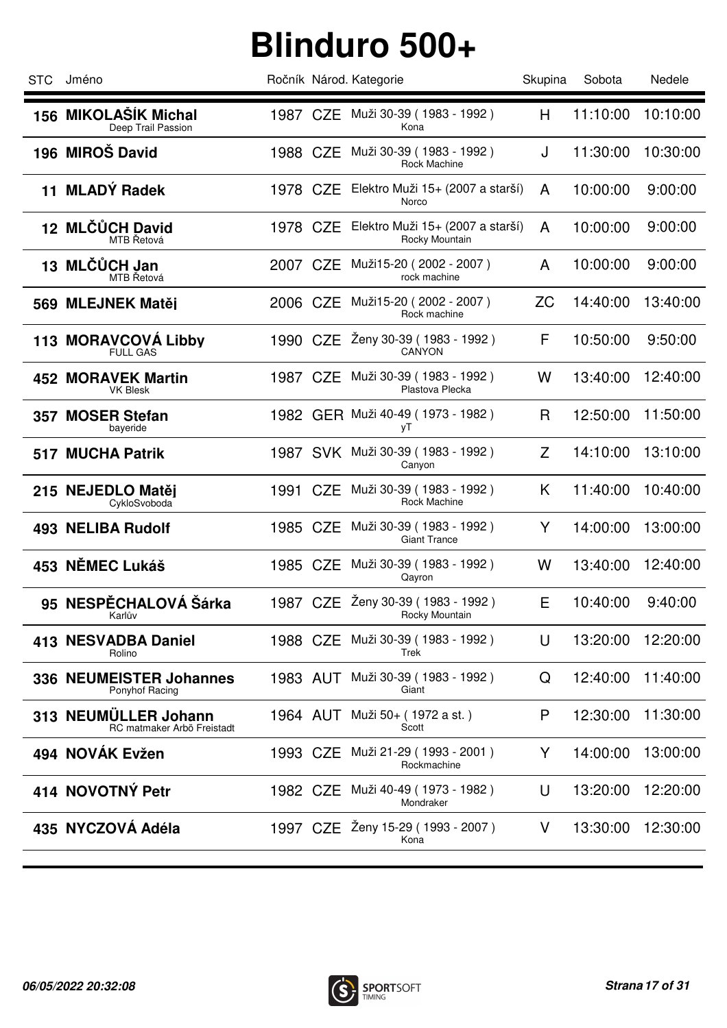| <b>STC</b> | Jméno                                              |          | Ročník Národ. Kategorie                             | Skupina   | Sobota   | Nedele   |
|------------|----------------------------------------------------|----------|-----------------------------------------------------|-----------|----------|----------|
|            | 156 MIKOLAŠÍK Michal<br>Deep Trail Passion         |          | 1987 CZE Muži 30-39 (1983 - 1992)<br>Kona           | Н         | 11:10:00 | 10:10:00 |
|            | 196 MIROŠ David                                    | 1988 CZE | Muži 30-39 (1983 - 1992)<br>Rock Machine            | J         | 11:30:00 | 10:30:00 |
|            | 11 MLADÝ Radek                                     | 1978 CZE | Elektro Muži 15+ (2007 a starší)<br>Norco           | A         | 10:00:00 | 9:00:00  |
|            | 12 MLČŮCH David<br>MTB Řetová                      | 1978 CZE | Elektro Muži 15+ (2007 a starší)<br>Rocky Mountain  | A         | 10:00:00 | 9:00:00  |
|            | 13 MLČŮCH Jan<br>MTB Řetová                        | 2007 CZE | Muži15-20 (2002 - 2007)<br>rock machine             | A         | 10:00:00 | 9:00:00  |
|            | 569 MLEJNEK Matěj                                  | 2006 CZE | Muži15-20 (2002 - 2007)<br>Rock machine             | <b>ZC</b> | 14:40:00 | 13:40:00 |
|            | 113 MORAVCOVA Libby<br><b>FULL GAS</b>             | 1990 CZE | Ženy 30-39 (1983 - 1992)<br>CANYON                  | F         | 10:50:00 | 9:50:00  |
|            | <b>452 MORAVEK Martin</b><br><b>VK Blesk</b>       | 1987 CZE | Muži 30-39 (1983 - 1992)<br>Plastova Plecka         | W         | 13:40:00 | 12:40:00 |
|            | 357 MOSER Stefan<br>bayeride                       |          | 1982 GER Muži 40-49 (1973 - 1982)<br>уT             | R         | 12:50:00 | 11:50:00 |
|            | <b>517 MUCHA Patrik</b>                            |          | 1987 SVK Muži 30-39 (1983 - 1992)<br>Canyon         | Z         | 14:10:00 | 13:10:00 |
|            | 215 NEJEDLO Matěi<br>CykloSvoboda                  | 1991 CZE | Muži 30-39 (1983 - 1992)<br>Rock Machine            | K         | 11:40:00 | 10:40:00 |
|            | <b>493 NELIBA Rudolf</b>                           | 1985 CZE | Muži 30-39 (1983 - 1992)<br><b>Giant Trance</b>     | Y         | 14:00:00 | 13:00:00 |
|            | 453 NĚMEC Lukáš                                    |          | 1985 CZE Muži 30-39 (1983 - 1992)<br>Qayron         | W         | 13:40:00 | 12:40:00 |
|            | 95 NESPĚCHALOVÁ Šárka<br>Nafiuv                    |          | 1987 CZE Ženy 30-39 (1983 - 1992)<br>Rocky Mountain | Е         | 10:40:00 | 9:40:00  |
|            | 413 NESVADBA Daniel<br>Rolino                      | 1988 CZE | Muži 30-39 (1983 - 1992)<br>Trek                    | U         | 13:20:00 | 12:20:00 |
|            | 336 NEUMEISTER Johannes<br>Ponyhof Racing          | 1983 AUT | Muži 30-39 (1983 - 1992)<br>Giant                   | Q         | 12:40:00 | 11:40:00 |
|            | 313 NEUMÜLLER Johann<br>RC matmaker Arbö Freistadt | 1964 AUT | Muži 50+ (1972 a st.)<br>Scott                      | P         | 12:30:00 | 11:30:00 |
|            | 494 NOVÁK Evžen                                    |          | 1993 CZE Muži 21-29 (1993 - 2001)<br>Rockmachine    | Y         | 14:00:00 | 13:00:00 |
|            | 414 NOVOTNÝ Petr                                   | 1982 CZE | Muži 40-49 ( 1973 - 1982 )<br>Mondraker             | U         | 13:20:00 | 12:20:00 |
|            | 435 NYCZOVÁ Adéla                                  |          | 1997 CZE Zeny 15-29 (1993 - 2007)<br>Kona           | V         | 13:30:00 | 12:30:00 |
|            |                                                    |          |                                                     |           |          |          |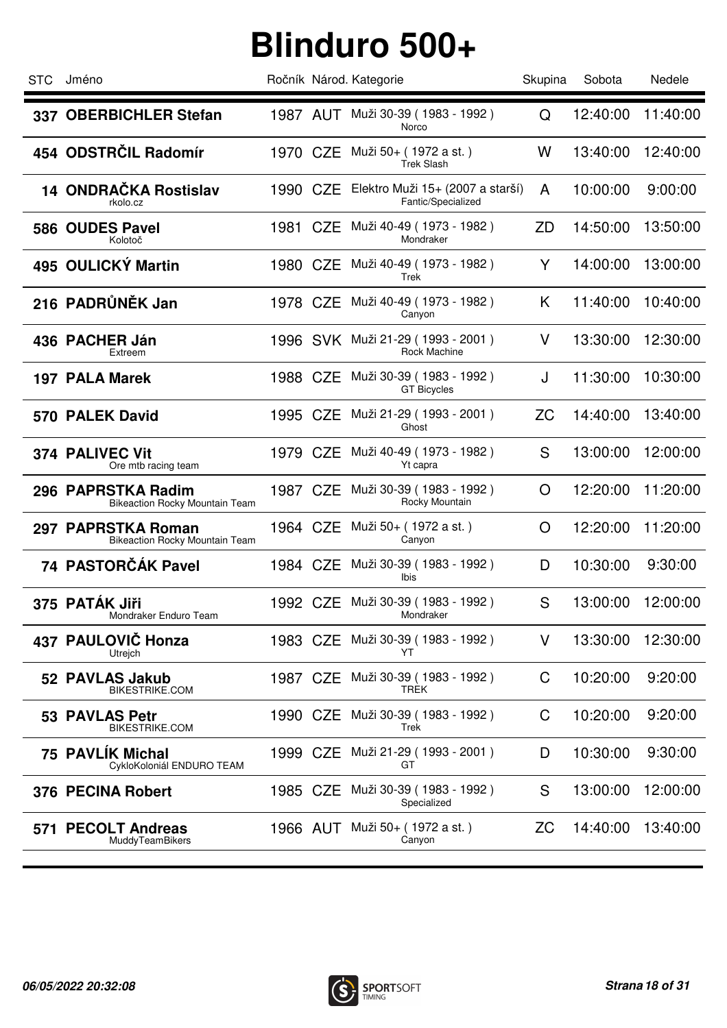| <b>STC</b> | Jméno                                                       |          | Ročník Národ. Kategorie                                | Skupina   | Sobota   | Nedele   |
|------------|-------------------------------------------------------------|----------|--------------------------------------------------------|-----------|----------|----------|
|            | 337 OBERBICHLER Stefan                                      |          | 1987 AUT Muži 30-39 (1983 - 1992)<br>Norco             | Q         | 12:40:00 | 11:40:00 |
|            | 454 ODSTRČIL Radomír                                        | 1970 CZE | Muži 50+ (1972 a st.)<br><b>Trek Slash</b>             | W         | 13:40:00 | 12:40:00 |
|            | 14 ONDRAČKA Rostislav<br>rkolo.cz                           | 1990 CZE | Elektro Muži 15+ (2007 a starší)<br>Fantic/Specialized | A         | 10:00:00 | 9:00:00  |
|            | 586 OUDES Pavel<br>Kolotoč                                  |          | 1981 CZE Muži 40-49 (1973 - 1982)<br>Mondraker         | ZD        | 14:50:00 | 13:50:00 |
|            | 495 OULICKÝ Martin                                          | 1980 CZE | Muži 40-49 (1973 - 1982)<br>Trek                       | Y         | 14:00:00 | 13:00:00 |
|            | 216 PADRŮNĚK Jan                                            | 1978 CZE | Muži 40-49 (1973 - 1982)<br>Canyon                     | K         | 11:40:00 | 10:40:00 |
|            | 436 PACHER Ján<br>Extreem                                   |          | 1996 SVK Muži 21-29 (1993 - 2001)<br>Rock Machine      | V         | 13:30:00 | 12:30:00 |
|            | <b>197 PALA Marek</b>                                       | 1988 CZE | Muži 30-39 (1983 - 1992)<br><b>GT Bicycles</b>         | J         | 11:30:00 | 10:30:00 |
|            | 570 PALEK David                                             | 1995 CZE | Muži 21-29 ( 1993 - 2001 )<br>Ghost                    | <b>ZC</b> | 14:40:00 | 13:40:00 |
|            | 374 PALIVEC Vit<br>Ore mtb racing team                      | 1979 CZE | Muži 40-49 (1973 - 1982)<br>Yt capra                   | S         | 13:00:00 | 12:00:00 |
|            | 296 PAPRSTKA Radim<br><b>Bikeaction Rocky Mountain Team</b> | 1987 CZE | Muži 30-39 (1983 - 1992 )<br>Rocky Mountain            | O         | 12:20:00 | 11:20:00 |
|            | 297 PAPRSTKA Roman<br><b>Bikeaction Rocky Mountain Team</b> |          | 1964 CZE Muži 50+ (1972 a st.)<br>Canyon               | O         | 12:20:00 | 11:20:00 |
|            | 74 PASTORČÁK Pavel                                          |          | 1984 CZE Muži 30-39 (1983 - 1992)<br>Ibis              | D         | 10:30:00 | 9:30:00  |
|            | 375 PATÁK Jiři<br>Mondraker Enduro Team                     |          | 1992 CZE Muži 30-39 (1983 - 1992)<br>Mondraker         | S         | 13:00:00 | 12:00:00 |
| 437        | PAULOVIČ Honza<br>Utrejch                                   | 1983 CZE | Muži 30-39 (1983 - 1992)<br>YT                         | V         | 13:30:00 | 12:30:00 |
|            | 52 PAVLAS Jakub<br><b>BIKESTRIKE.COM</b>                    | 1987 CZE | Muži 30-39 (1983 - 1992)<br><b>TREK</b>                | C         | 10:20:00 | 9:20:00  |
|            | 53 PAVLAS Petr<br><b>BIKESTRIKE.COM</b>                     | 1990 CZE | Muži 30-39 (1983 - 1992)<br>Trek                       | C         | 10:20:00 | 9:20:00  |
|            | 75 PAVLIK Michal<br>CykloKoloniál ENDURO TEAM               | 1999 CZE | Muži 21-29 (1993 - 2001)<br>GT                         | D         | 10:30:00 | 9:30:00  |
|            | 376 PECINA Robert                                           | 1985 CZE | Muži 30-39 (1983 - 1992)<br>Specialized                | S         | 13:00:00 | 12:00:00 |
|            | 571 PECOLT Andreas<br>MuddyTeamBikers                       |          | 1966 AUT Muži 50+ (1972 a st.)<br>Canyon               | ZC        | 14:40:00 | 13:40:00 |
|            |                                                             |          |                                                        |           |          |          |

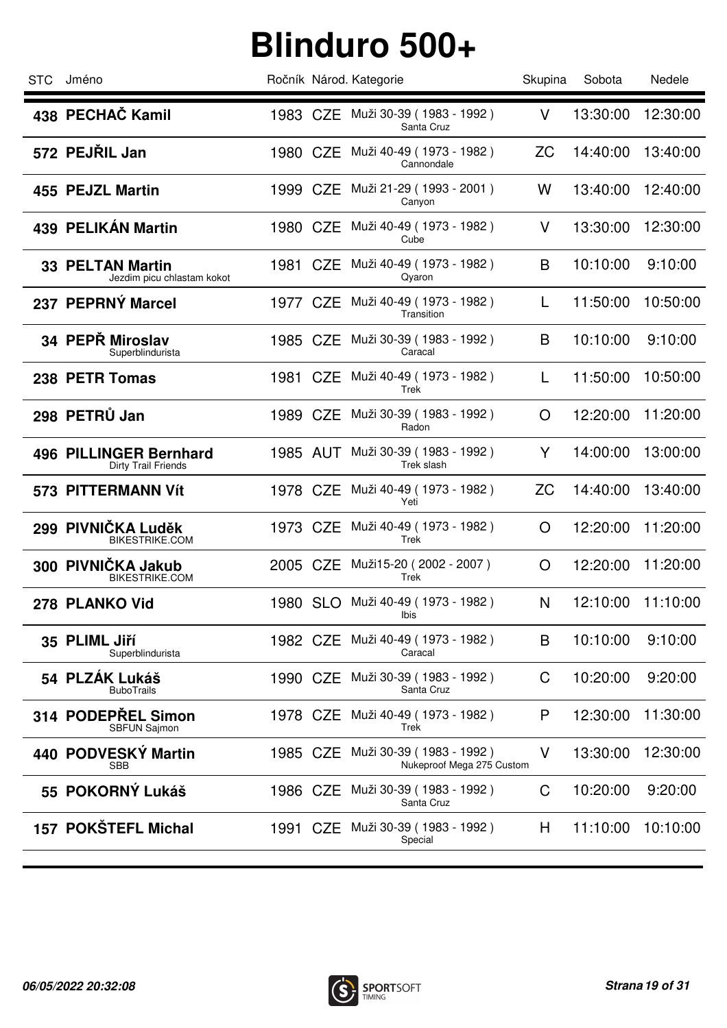| STC | Jméno                                                 |          | Ročník Národ. Kategorie                               | Skupina   | Sobota   | Nedele   |
|-----|-------------------------------------------------------|----------|-------------------------------------------------------|-----------|----------|----------|
|     | 438 PECHAČ Kamil                                      |          | 1983 CZE Muži 30-39 (1983 - 1992)<br>Santa Cruz       | V         | 13:30:00 | 12:30:00 |
|     | 572 PEJRIL Jan                                        | 1980 CZE | Muži 40-49 (1973 - 1982)<br>Cannondale                | ΖC        | 14:40:00 | 13:40:00 |
|     | 455 PEJZL Martin                                      | 1999 CZE | Muži 21-29 (1993 - 2001)<br>Canyon                    | W         | 13:40:00 | 12:40:00 |
|     | 439 PELIKÁN Martin                                    |          | 1980 CZE Muži 40-49 (1973 - 1982)<br>Cube             | V         | 13:30:00 | 12:30:00 |
|     | <b>33 PELTAN Martin</b><br>Jezdim picu chlastam kokot | 1981 CZE | Muži 40-49 (1973 - 1982)<br>Qyaron                    | B         | 10:10:00 | 9:10:00  |
|     | 237 PEPRNÝ Marcel                                     | 1977 CZE | Muži 40-49 (1973 - 1982)<br>Transition                | L         | 11:50:00 | 10:50:00 |
|     | 34 PEPŘ Miroslav<br>Superblindurista                  | 1985 CZE | Muži 30-39 (1983 - 1992)<br>Caracal                   | B         | 10:10:00 | 9:10:00  |
|     | 238 PETR Tomas                                        | 1981 CZE | Muži 40-49 (1973 - 1982)<br>Trek                      | L         | 11:50:00 | 10:50:00 |
|     | 298 PETRŮ Jan                                         |          | 1989 CZE Muži 30-39 (1983 - 1992)<br>Radon            | O         | 12:20:00 | 11:20:00 |
|     | 496 PILLINGER Bernhard<br>Dirty Trail Friends         | 1985 AUT | Muži 30-39 (1983 - 1992)<br>Trek slash                | Y         | 14:00:00 | 13:00:00 |
|     | 573 PITTERMANN Vít                                    | 1978 CZE | Muži 40-49 ( 1973 - 1982 )<br>Yeti                    | <b>ZC</b> | 14:40:00 | 13:40:00 |
|     | 299 PIVNIČKA Luděk<br><b>BIKESTRIKE.COM</b>           |          | 1973 CZE Muži 40-49 (1973 - 1982)<br>Trek             | O         | 12:20:00 | 11:20:00 |
|     | 300 PIVNIČKA Jakub<br>BIKESTRIKE.COM                  |          | 2005 CZE Muži15-20 (2002 - 2007)<br>Trek              | O         | 12:20:00 | 11:20:00 |
|     | 278 PLANKO Vid                                        | 1980 SLO | Muži 40-49 (1973 - 1982)<br>lbis                      | N         | 12:10:00 | 11:10:00 |
|     | 35 PLIML Jiří<br>Superblindurista                     | 1982 CZE | Muži 40-49 (1973 - 1982)<br>Caracal                   | B         | 10:10:00 | 9:10:00  |
|     | 54 PLZÁK Lukáš<br><b>BuboTrails</b>                   |          | 1990 CZE Muži 30-39 (1983 - 1992)<br>Santa Cruz       | C         | 10:20:00 | 9:20:00  |
|     | 314 PODEPREL Simon<br>SBFUN Sajmon                    | 1978 CZE | Muži 40-49 (1973 - 1982)<br>Trek                      | P         | 12:30:00 | 11:30:00 |
|     | 440 PODVESKÝ Martin<br><b>SBB</b>                     | 1985 CZE | Muži 30-39 (1983 - 1992)<br>Nukeproof Mega 275 Custom | V         | 13:30:00 | 12:30:00 |
|     | 55 POKORNÝ Lukáš                                      | 1986 CZE | Muži 30-39 (1983 - 1992)<br>Santa Cruz                | C         | 10:20:00 | 9:20:00  |
|     | 157 POKŠTEFL Michal                                   |          | 1991 CZE Muži 30-39 (1983 - 1992)<br>Special          | H         | 11:10:00 | 10:10:00 |
|     |                                                       |          |                                                       |           |          |          |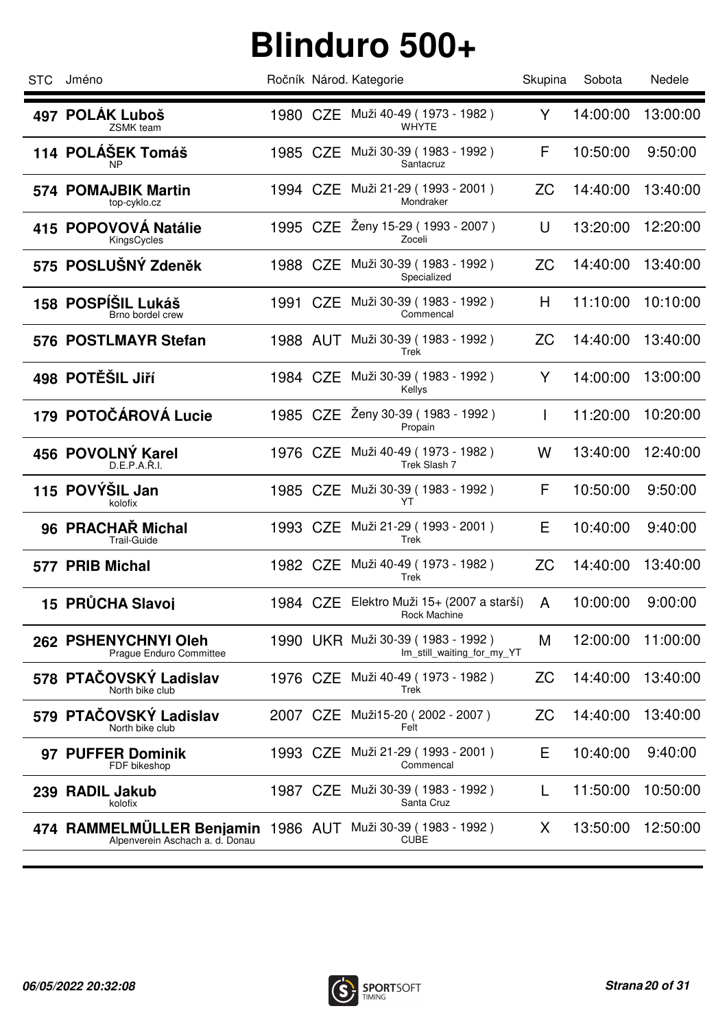| <b>STC</b> | Jméno                                                                                          |          | Ročník Národ. Kategorie                                         | Skupina   | Sobota   | Nedele   |
|------------|------------------------------------------------------------------------------------------------|----------|-----------------------------------------------------------------|-----------|----------|----------|
|            | 497 POLÁK Luboš<br><b>ZSMK</b> team                                                            |          | 1980 CZE Muži 40-49 (1973 - 1982)<br><b>WHYTE</b>               | Y         | 14:00:00 | 13:00:00 |
|            | 114 POLÁŠEK Tomáš<br>ΝP                                                                        | 1985 CZE | Muži 30-39 (1983 - 1992)<br>Santacruz                           | F         | 10:50:00 | 9:50:00  |
|            | 574 POMAJBIK Martin<br>top-cyklo.cz                                                            | 1994 CZE | Muži 21-29 ( 1993 - 2001 )<br>Mondraker                         | <b>ZC</b> | 14:40:00 | 13:40:00 |
|            | 415 POPOVOVÁ Natálie<br>KingsCycles                                                            |          | 1995 CZE Ženy 15-29 (1993 - 2007)<br>Zoceli                     | U         | 13:20:00 | 12:20:00 |
|            | 575 POSLUŠNÝ Zdeněk                                                                            | 1988 CZE | Muži 30-39 (1983 - 1992)<br>Specialized                         | ZC        | 14:40:00 | 13:40:00 |
|            | 158 POSPÍŠIL Lukáš<br>Brno bordel crew                                                         | 1991 CZE | Muži 30-39 (1983 - 1992)<br>Commencal                           | H         | 11:10:00 | 10:10:00 |
|            | 576 POSTLMAYR Stefan                                                                           | 1988 AUT | Muži 30-39 (1983 - 1992)<br>Trek                                | ZC        | 14:40:00 | 13:40:00 |
|            | 498 POTĚŠIL Jiří                                                                               | 1984 CZE | Muži 30-39 (1983 - 1992)<br>Kellys                              | Y         | 14:00:00 | 13:00:00 |
|            | 179 POTOČÁROVÁ Lucie                                                                           |          | 1985 CZE Ženy 30-39 (1983 - 1992)<br>Propain                    | L         | 11:20:00 | 10:20:00 |
|            | 456 POVOLNÝ Karel<br>D.E.P.A.R.I.                                                              | 1976 CZE | Muži 40-49 (1973 - 1982)<br>Trek Slash 7                        | W         | 13:40:00 | 12:40:00 |
|            | 115 POVÝŠIL Jan<br>kolofix                                                                     |          | 1985 CZE Muži 30-39 (1983 - 1992)<br>YT                         | F         | 10:50:00 | 9:50:00  |
|            | 96 PRACHAR Michal<br><b>Trail-Guide</b>                                                        |          | 1993 CZE Muži 21-29 (1993 - 2001)<br>Trek                       | Е         | 10:40:00 | 9:40:00  |
|            | 577 PRIB Michal                                                                                |          | 1982 CZE Muži 40-49 (1973 - 1982)<br>Trek                       | <b>ZC</b> | 14:40:00 | 13:40:00 |
|            | 15 PRŮCHA Slavoj                                                                               |          | 1984 CZE Elektro Muži 15+ (2007 a starší)<br>Rock Machine       | A         | 10:00:00 | 9:00:00  |
|            | 262 PSHENYCHNYI Oleh<br>Prague Enduro Committee                                                |          | 1990 UKR Muži 30-39 (1983 - 1992)<br>Im_still_waiting_for_my_YT | M         | 12:00:00 | 11:00:00 |
|            | 578 PTAČOVSKÝ Ladislav<br>North bike club                                                      |          | 1976 CZE Muži 40-49 (1973 - 1982)<br>Trek                       | ZC        | 14:40:00 | 13:40:00 |
|            | 579 PTAČOVSKÝ Ladislav<br>North bike club                                                      | 2007 CZE | Muži15-20 (2002 - 2007)<br>Felt                                 | ZC        | 14:40:00 | 13:40:00 |
|            | 97 PUFFER Dominik<br>FDF bikeshop                                                              |          | 1993 CZE Muži 21-29 (1993 - 2001)<br>Commencal                  | Е         | 10:40:00 | 9:40:00  |
|            | 239 RADIL Jakub<br>kolofix                                                                     | 1987 CZE | Muži 30-39 (1983 - 1992 )<br>Santa Cruz                         |           | 11:50:00 | 10:50:00 |
|            | 474 RAMMELMÜLLER Benjamin 1986 AUT Muži 30-39 (1983 - 1992)<br>Alpenverein Aschach a. d. Donau |          | <b>CUBE</b>                                                     | X.        | 13:50:00 | 12:50:00 |

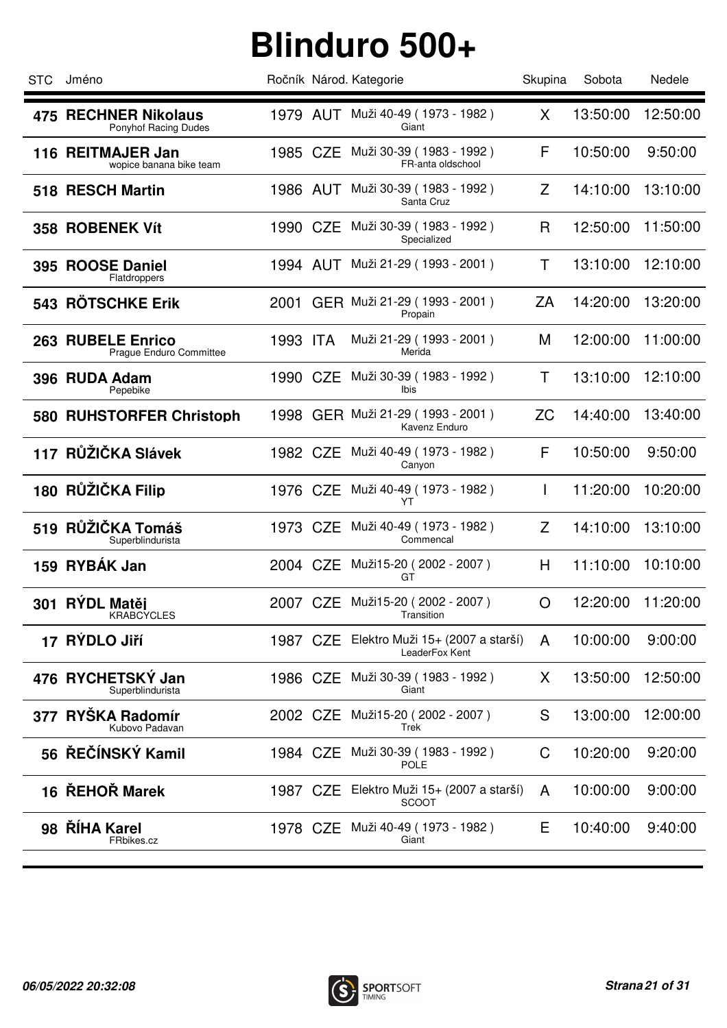| <b>STC</b> | Jméno                                               |          |          | Ročník Národ. Kategorie                            | Skupina   | Sobota   | Nedele   |
|------------|-----------------------------------------------------|----------|----------|----------------------------------------------------|-----------|----------|----------|
|            | <b>475 RECHNER Nikolaus</b><br>Ponyhof Racing Dudes |          |          | 1979 AUT Muži 40-49 (1973 - 1982)<br>Giant         | X         | 13:50:00 | 12:50:00 |
|            | 116 REITMAJER Jan<br>wopice banana bike team        | 1985 CZE |          | Muži 30-39 (1983 - 1992)<br>FR-anta oldschool      | F         | 10:50:00 | 9:50:00  |
|            | 518 RESCH Martin                                    | 1986 AUT |          | Muži 30-39 (1983 - 1992)<br>Santa Cruz             | Z         | 14:10:00 | 13:10:00 |
|            | 358 ROBENEK Vít                                     | 1990 CZE |          | Muži 30-39 (1983 - 1992)<br>Specialized            | R         | 12:50:00 | 11:50:00 |
|            | 395 ROOSE Daniel<br>Flatdroppers                    |          |          | 1994 AUT Muži 21-29 (1993 - 2001)                  | T         | 13:10:00 | 12:10:00 |
|            | 543 RÖTSCHKE Erik                                   |          |          | 2001 GER Muži 21-29 (1993 - 2001)<br>Propain       | ΖA        | 14:20:00 | 13:20:00 |
|            | 263 RUBELE Enrico<br>Prague Enduro Committee        | 1993 ITA |          | Muži 21-29 (1993 - 2001)<br>Merida                 | M         | 12:00:00 | 11:00:00 |
|            | 396 RUDA Adam<br>Pepebike                           | 1990 CZE |          | Muži 30-39 (1983 - 1992)<br>Ibis                   | Τ         | 13:10:00 | 12:10:00 |
|            | 580 RUHSTORFER Christoph                            |          |          | 1998 GER Muži 21-29 (1993 - 2001)<br>Kavenz Enduro | <b>ZC</b> | 14:40:00 | 13:40:00 |
|            | 117 RŮŽIČKA Slávek                                  | 1982 CZE |          | Muži 40-49 (1973 - 1982)<br>Canyon                 | F         | 10:50:00 | 9:50:00  |
|            | 180 RŮŽIČKA Filip                                   | 1976 CZE |          | Muži 40-49 (1973 - 1982)<br>YT                     | L         | 11:20:00 | 10:20:00 |
|            | 519 RŮŽIČKA Tomáš<br>Superblindurista               | 1973 CZE |          | Muži 40-49 (1973 - 1982)<br>Commencal              | Z         | 14:10:00 | 13:10:00 |
|            | 159 RYBÁK Jan                                       |          |          | 2004 CZE Muži15-20 (2002 - 2007)<br>GT             | H         | 11:10:00 | 10:10:00 |
|            | 301 RÝDL Matěj<br><b>KRABCYCLES</b>                 |          |          | 2007 CZE Muži15-20 (2002 - 2007)<br>Transition     | O         | 12:20:00 | 11:20:00 |
|            | 17 RÝDLO Jiří                                       | 1987 CZE |          | Elektro Muži 15+ (2007 a starší)<br>LeaderFox Kent | A         | 10:00:00 | 9:00:00  |
|            | 476 RYCHETSKÝ Jan<br>Superblindurista               | 1986 CZE |          | Muži 30-39 (1983 - 1992)<br>Giant                  | X.        | 13:50:00 | 12:50:00 |
| 377        | RYŠKA Radomír<br>Kubovo Padavan                     | 2002 CZE |          | Muži15-20 (2002 - 2007)<br>Trek                    | S         | 13:00:00 | 12:00:00 |
|            | 56 ŘEČÍNSKÝ Kamil                                   |          |          | 1984 CZE Muži 30-39 (1983 - 1992)<br>POLE          | C         | 10:20:00 | 9:20:00  |
|            | 16 ŘEHOŘ Marek                                      |          | 1987 CZE | Elektro Muži 15+ (2007 a starší)<br><b>SCOOT</b>   | A         | 10:00:00 | 9:00:00  |
|            | 98 ŘÍHA Karel<br>FRbikes.cz                         |          |          | 1978 CZE Muži 40-49 (1973 - 1982)<br>Giant         | Е         | 10:40:00 | 9:40:00  |
|            |                                                     |          |          |                                                    |           |          |          |

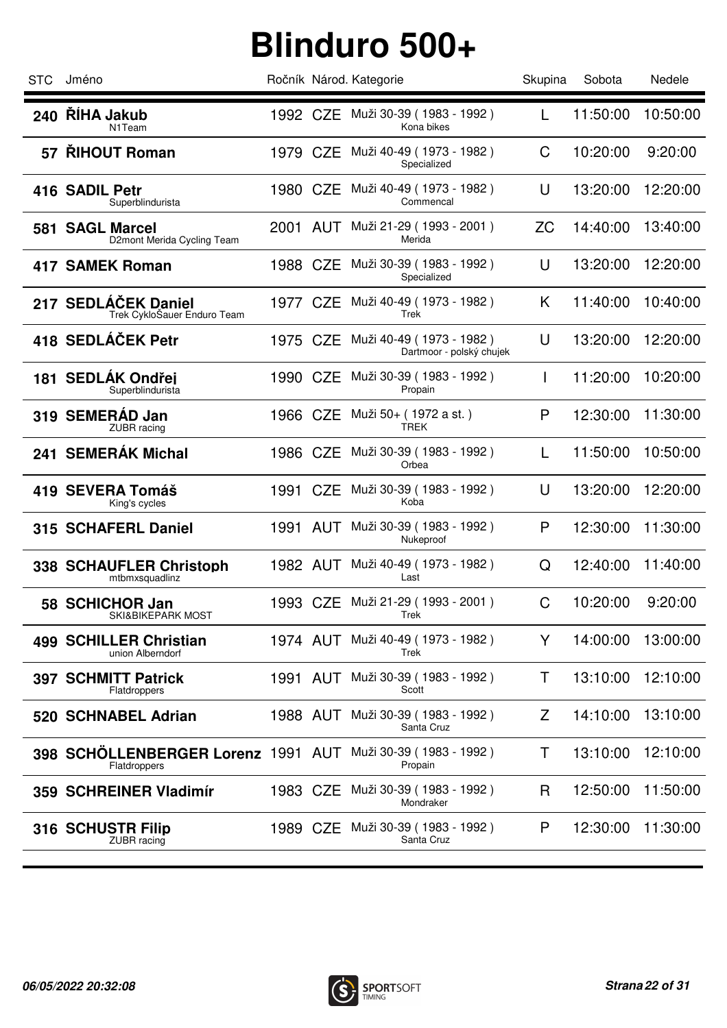| <b>STC</b> | Jméno                                                                       |          | Ročník Národ. Kategorie                              | Skupina   | Sobota   | Nedele   |
|------------|-----------------------------------------------------------------------------|----------|------------------------------------------------------|-----------|----------|----------|
|            | 240 ŘÍHA Jakub<br>N <sub>1</sub> Team                                       |          | 1992 CZE Muži 30-39 (1983 - 1992)<br>Kona bikes      | L         | 11:50:00 | 10:50:00 |
|            | 57 ŘIHOUT Roman                                                             | 1979 CZE | Muži 40-49 ( 1973 - 1982 )<br>Specialized            | C         | 10:20:00 | 9:20:00  |
|            | 416 SADIL Petr<br>Superblindurista                                          | 1980 CZE | Muži 40-49 (1973 - 1982)<br>Commencal                | U         | 13:20:00 | 12:20:00 |
|            | 581 SAGL Marcel<br>D2mont Merida Cycling Team                               |          | 2001 AUT Muži 21-29 (1993 - 2001)<br>Merida          | <b>ZC</b> | 14:40:00 | 13:40:00 |
|            | <b>417 SAMEK Roman</b>                                                      | 1988 CZE | Muži 30-39 (1983 - 1992)<br>Specialized              | U         | 13:20:00 | 12:20:00 |
|            | 217 SEDLÁČEK Daniel<br>Trek CykloSauer Enduro Team                          |          | 1977 CZE Muži 40-49 (1973 - 1982)<br>Trek            | K         | 11:40:00 | 10:40:00 |
|            | 418 SEDLÁČEK Petr                                                           | 1975 CZE | Muži 40-49 (1973 - 1982)<br>Dartmoor - polský chujek | U         | 13:20:00 | 12:20:00 |
|            | 181 SEDLÁK Ondřej<br>Superblindurista                                       | 1990 CZE | Muži 30-39 (1983 - 1992)<br>Propain                  | L         | 11:20:00 | 10:20:00 |
|            | 319 SEMERÁD Jan<br><b>ZUBR</b> racing                                       | 1966 CZE | Muži 50+ (1972 a st.)<br>TREK                        | P         | 12:30:00 | 11:30:00 |
|            | 241 SEMERÁK Michal                                                          | 1986 CZE | Muži 30-39 (1983 - 1992)<br>Orbea                    | L         | 11:50:00 | 10:50:00 |
|            | 419 SEVERA Tomáš<br>King's cycles                                           | 1991 CZE | Muži 30-39 (1983 - 1992 )<br>Koba                    | U         | 13:20:00 | 12:20:00 |
|            | 315 SCHAFERL Daniel                                                         |          | 1991 AUT Muži 30-39 (1983 - 1992)<br>Nukeproof       | P         | 12:30:00 | 11:30:00 |
|            | <b>338 SCHAUFLER Christoph</b><br>mtbmxsquadlinz                            |          | 1982 AUT Muži 40-49 (1973 - 1982)<br>Last            | Q         | 12:40:00 | 11:40:00 |
|            | 58 SCHICHOR Jan<br>SKI&BIKEPARK MOST                                        |          | 1993 CZE Muži 21-29 (1993 - 2001)<br>Trek            | C         | 10:20:00 | 9:20:00  |
|            | 499 SCHILLER Christian<br>union Alberndorf                                  | 1974 AUT | Muži 40-49 (1973 - 1982)<br>Trek                     | Y         | 14:00:00 | 13:00:00 |
|            | <b>397 SCHMITT Patrick</b><br>Flatdroppers                                  |          | 1991 AUT Muži 30-39 (1983 - 1992)<br>Scott           | T.        | 13:10:00 | 12:10:00 |
|            | 520 SCHNABEL Adrian                                                         |          | 1988 AUT Muži 30-39 (1983 - 1992)<br>Santa Cruz      | Z         | 14:10:00 | 13:10:00 |
|            | 398 SCHÖLLENBERGER Lorenz 1991 AUT Muži 30-39 (1983 - 1992)<br>Flatdroppers |          | Propain                                              | T.        | 13:10:00 | 12:10:00 |
|            | 359 SCHREINER Vladimír                                                      |          | 1983 CZE Muži 30-39 (1983 - 1992)<br>Mondraker       | R         | 12:50:00 | 11:50:00 |
|            | 316 SCHUSTR Filip<br>ZUBR racing                                            |          | 1989 CZE Muži 30-39 (1983 - 1992)<br>Santa Cruz      | P         | 12:30:00 | 11:30:00 |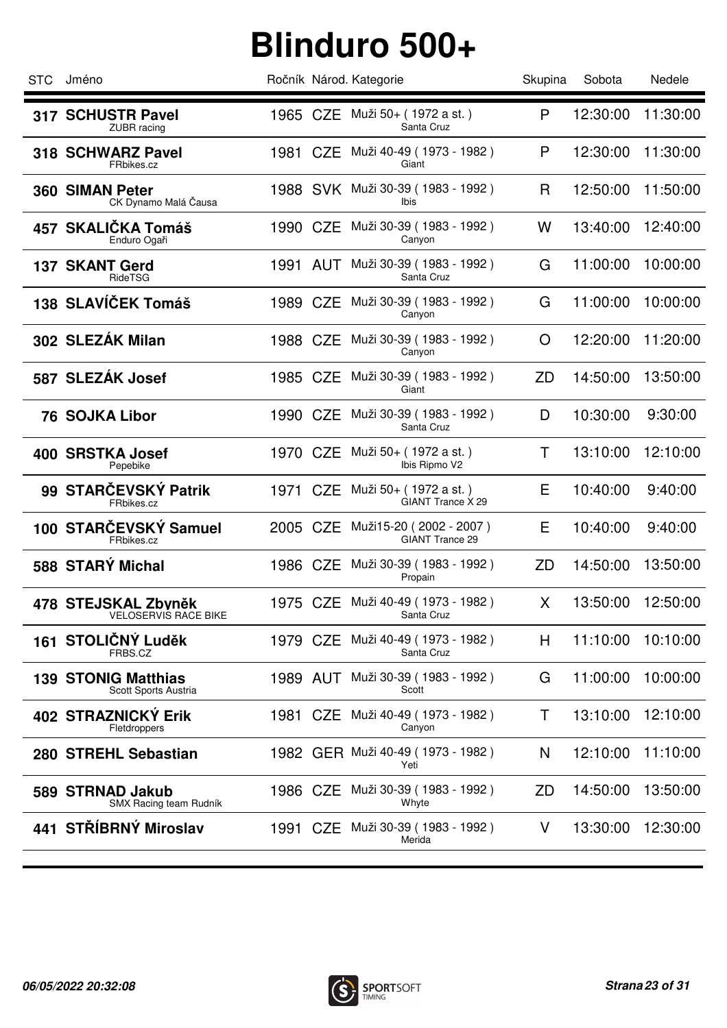| <b>STC</b> | Jméno                                              |          |          | Ročník Národ. Kategorie                                    | Skupina   | Sobota   | Nedele   |
|------------|----------------------------------------------------|----------|----------|------------------------------------------------------------|-----------|----------|----------|
|            | 317 SCHUSTR Pavel<br><b>ZUBR</b> racing            |          |          | 1965 CZE Muži 50+ (1972 a st.)<br>Santa Cruz               | P         | 12:30:00 | 11:30:00 |
|            | 318 SCHWARZ Pavel<br>FRbikes.cz                    | 1981 CZE |          | Muži 40-49 (1973 - 1982)<br>Giant                          | P         | 12:30:00 | 11:30:00 |
|            | 360 SIMAN Peter<br>CK Dynamo Malá Čausa            |          |          | 1988 SVK Muži 30-39 (1983 - 1992)<br><b>Ibis</b>           | R         | 12:50:00 | 11:50:00 |
|            | 457 SKALIČKA Tomáš<br>Enduro Ogaři                 |          |          | 1990 CZE Muži 30-39 (1983 - 1992)<br>Canyon                | W         | 13:40:00 | 12:40:00 |
|            | <b>137 SKANT Gerd</b><br>RideTSG                   | 1991 AUT |          | Muži 30-39 (1983 - 1992)<br>Santa Cruz                     | G         | 11:00:00 | 10:00:00 |
|            | 138 SLAVÍČEK Tomáš                                 | 1989 CZE |          | Muži 30-39 (1983 - 1992)<br>Canyon                         | G         | 11:00:00 | 10:00:00 |
|            | 302 SLEZÁK Milan                                   | 1988 CZE |          | Muži 30-39 (1983 - 1992)<br>Canyon                         | O         | 12:20:00 | 11:20:00 |
|            | 587 SLEZÁK Josef                                   | 1985 CZE |          | Muži 30-39 (1983 - 1992)<br>Giant                          | ZD        | 14:50:00 | 13:50:00 |
|            | <b>76 SOJKA Libor</b>                              |          | 1990 CZE | Muži 30-39 (1983 - 1992)<br>Santa Cruz                     | D         | 10:30:00 | 9:30:00  |
|            | 400 SRSTKA Josef<br>Pepebike                       | 1970 CZE |          | Muži 50+ (1972 a st.)<br>Ibis Ripmo V2                     | T         | 13:10:00 | 12:10:00 |
|            | 99 STARČEVSKÝ Patrik<br>FRbikes.cz                 |          |          | 1971 CZE Muži 50+ (1972 a st.)<br>GIANT Trance X 29        | E         | 10:40:00 | 9:40:00  |
|            | 100 STARČEVSKÝ Samuel<br>FRbikes.cz                |          |          | 2005 CZE Muži15-20 (2002 - 2007)<br><b>GIANT Trance 29</b> | E         | 10:40:00 | 9:40:00  |
|            | 588 STARÝ Michal                                   |          |          | 1986 CZE Muži 30-39 (1983 - 1992)<br>Propain               | <b>ZD</b> | 14:50:00 | 13:50:00 |
|            | 478 STEJSKAL Zbyněk<br>VELOSERVIS RACE BIKE        |          |          | 1975 CZE Muži 40-49 (1973 - 1982)<br>Santa Cruz            | X.        | 13:50:00 | 12:50:00 |
|            | 161 STOLIČNÝ Luděk<br>FRBS.CZ                      | 1979 CZE |          | Muži 40-49 (1973 - 1982)<br>Santa Cruz                     | H         | 11:10:00 | 10:10:00 |
|            | <b>139 STONIG Matthias</b><br>Scott Sports Austria |          | 1989 AUT | Muži 30-39 (1983 - 1992)<br>Scott                          | G         | 11:00:00 | 10:00:00 |
|            | <b>402 STRAZNICKY Erik</b><br>Fletdroppers         | 1981 CZE |          | Muži 40-49 (1973 - 1982)<br>Canyon                         | Τ         | 13:10:00 | 12:10:00 |
|            | 280 STREHL Sebastian                               |          |          | 1982 GER Muži 40-49 (1973 - 1982)<br>Yeti                  | N         | 12:10:00 | 11:10:00 |
|            | 589 STRNAD Jakub<br>SMX Racing team Rudník         |          | 1986 CZE | Muži 30-39 (1983 - 1992)<br>Whyte                          | ZD        | 14:50:00 | 13:50:00 |
|            | 441 STŘÍBRNÝ Miroslav                              |          |          | 1991 CZE Muži 30-39 (1983 - 1992)<br>Merida                | V         | 13:30:00 | 12:30:00 |
|            |                                                    |          |          |                                                            |           |          |          |

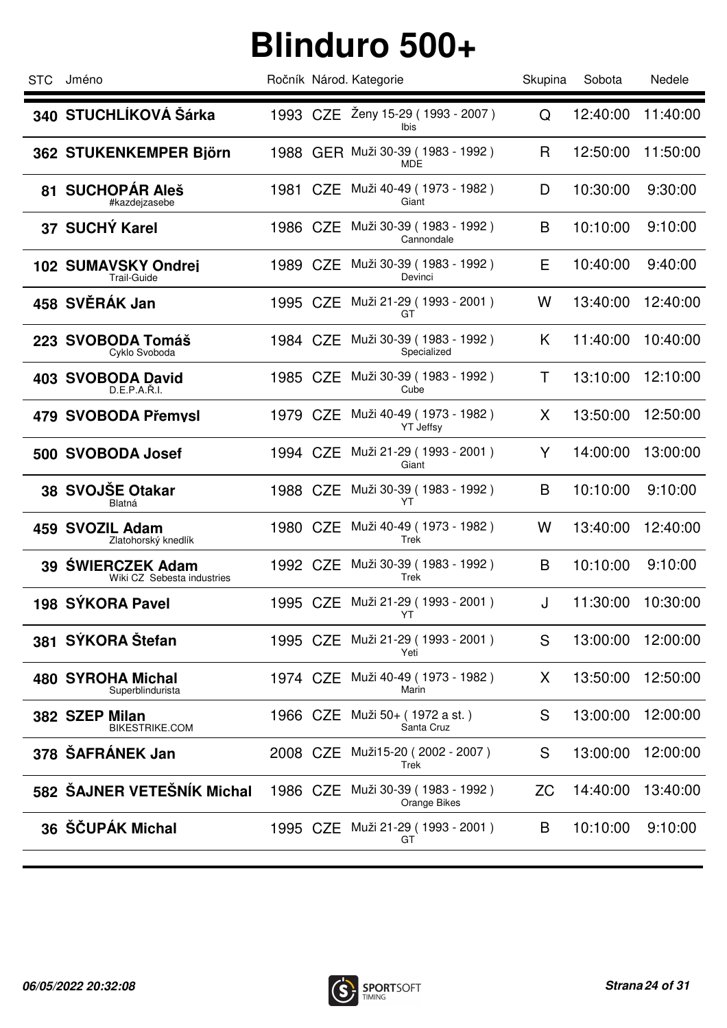| <b>STC</b> | Jméno                                            |          |          | Ročník Národ. Kategorie                         | Skupina   | Sobota   | Nedele   |
|------------|--------------------------------------------------|----------|----------|-------------------------------------------------|-----------|----------|----------|
|            | 340 STUCHLÍKOVÁ Šárka                            |          |          | 1993 CZE Ženy 15-29 (1993 - 2007)<br>Ibis       | Q         | 12:40:00 | 11:40:00 |
|            | 362 STUKENKEMPER Björn                           |          |          | 1988 GER Muži 30-39 (1983 - 1992)<br><b>MDE</b> | R         | 12:50:00 | 11:50:00 |
|            | 81 SUCHOPAR Aleš<br>#kazdejzasebe                | 1981 CZE |          | Muži 40-49 (1973 - 1982)<br>Giant               | D         | 10:30:00 | 9:30:00  |
|            | 37 SUCHÝ Karel                                   |          |          | 1986 CZE Muži 30-39 (1983 - 1992)<br>Cannondale | B         | 10:10:00 | 9:10:00  |
|            | <b>102 SUMAVSKY Ondrej</b><br><b>Trail-Guide</b> | 1989 CZE |          | Muži 30-39 (1983 - 1992)<br>Devinci             | Е         | 10:40:00 | 9:40:00  |
|            | 458 SVĚRÁK Jan                                   | 1995 CZE |          | Muži 21-29 (1993 - 2001)<br>GT                  | W         | 13:40:00 | 12:40:00 |
|            | 223 SVOBODA Tomáš<br>Cyklo Svoboda               | 1984 CZE |          | Muži 30-39 (1983 - 1992)<br>Specialized         | K.        | 11:40:00 | 10:40:00 |
|            | 403 SVOBODA David<br>D.E.P.A.Ř.I.                | 1985 CZE |          | Muži 30-39 (1983 - 1992)<br>Cube                | T         | 13:10:00 | 12:10:00 |
|            | 479 SVOBODA Přemysl                              | 1979 CZE |          | Muži 40-49 ( 1973 - 1982 )<br><b>YT Jeffsy</b>  | X         | 13:50:00 | 12:50:00 |
|            | 500 SVOBODA Josef                                | 1994 CZE |          | Muži 21-29 (1993 - 2001)<br>Giant               | Y         | 14:00:00 | 13:00:00 |
|            | 38 SVOJŠE Otakar<br>Blatná                       | 1988 CZE |          | Muži 30-39 ( 1983 - 1992 )<br>YT                | B         | 10:10:00 | 9:10:00  |
|            | 459 SVOZIL Adam<br>Zlatohorský knedlík           |          |          | 1980 CZE Muži 40-49 (1973 - 1982)<br>Trek       | W         | 13:40:00 | 12:40:00 |
|            | 39 SWIERCZEK Adam<br>Wiki CZ Sebesta industries  |          |          | 1992 CZE Muži 30-39 (1983 - 1992)<br>Trek       | B         | 10:10:00 | 9:10:00  |
|            | 198 SÝKORA Pavel                                 |          |          | 1995 CZE Muži 21-29 (1993 - 2001)<br>YT.        | J         | 11:30:00 | 10:30:00 |
|            | 381 SÝKORA Štefan                                | 1995 CZE |          | Muži 21-29 (1993 - 2001)<br>Yeti                | S         | 13:00:00 | 12:00:00 |
|            | 480 SYROHA Michal<br>Superblindurista            |          | 1974 CZE | Muži 40-49 (1973 - 1982)<br>Marin               | X.        | 13:50:00 | 12:50:00 |
|            | 382 SZEP Milan<br><b>BIKESTRIKE.COM</b>          | 1966 CZE |          | Muži 50+ (1972 a st.)<br>Santa Cruz             | S         | 13:00:00 | 12:00:00 |
|            | 378 ŠAFRÁNEK Jan                                 | 2008 CZE |          | Muži15-20 (2002 - 2007)<br>Trek                 | S         | 13:00:00 | 12:00:00 |
|            | 582 ŠAJNER VETEŠNÍK Michal                       | 1986 CZE |          | Muži 30-39 ( 1983 - 1992 )<br>Orange Bikes      | <b>ZC</b> | 14:40:00 | 13:40:00 |
|            | 36 ŠČUPÁK Michal                                 |          |          | 1995 CZE Muži 21-29 (1993 - 2001)<br>GT         | B         | 10:10:00 | 9:10:00  |
|            |                                                  |          |          |                                                 |           |          |          |

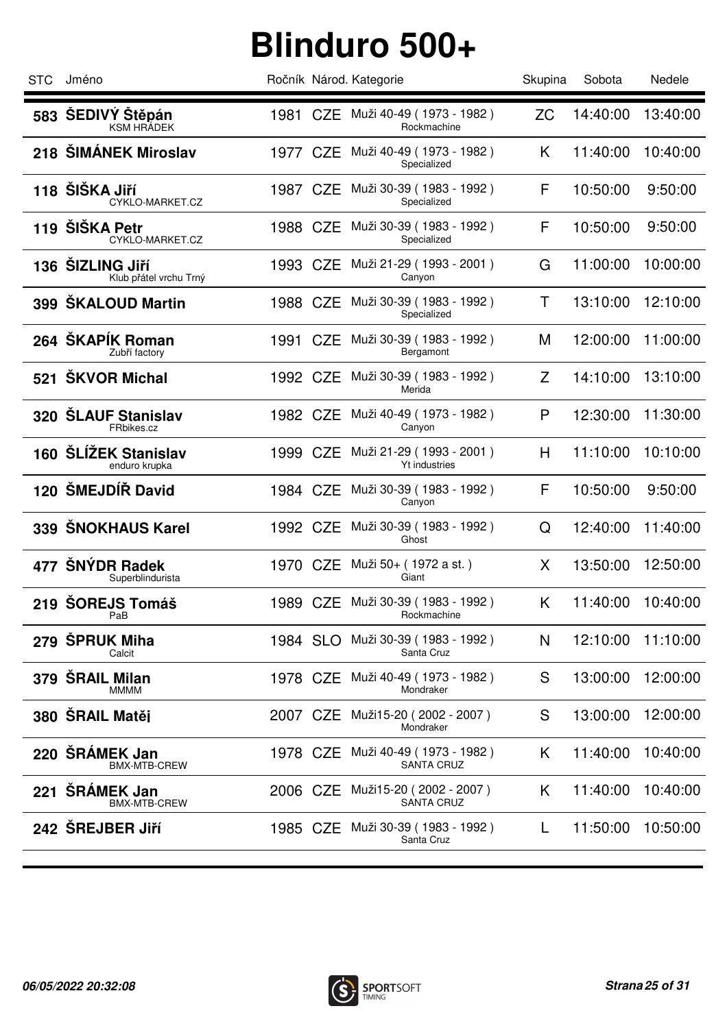| <b>STC</b> | Jméno                                      |          | Ročník Národ. Kategorie                                | Skupina   | Sobota   | Nedele   |
|------------|--------------------------------------------|----------|--------------------------------------------------------|-----------|----------|----------|
|            | 583 ŠEDIVÝ Štěpán<br><b>KSM HRÁDEK</b>     |          | 1981 CZE Muži 40-49 (1973 - 1982)<br>Rockmachine       | <b>ZC</b> | 14:40:00 | 13:40:00 |
|            | 218 ŠIMÁNEK Miroslav                       | 1977 CZE | Muži 40-49 (1973 - 1982)<br>Specialized                | K.        | 11:40:00 | 10:40:00 |
|            | 118 ŠIŠKA Jiří<br>CYKLO-MARKET.CZ          | 1987 CZE | Muži 30-39 (1983 - 1992)<br>Specialized                | F         | 10:50:00 | 9:50:00  |
|            | 119 ŠIŠKA Petr<br>CYKLO-MARKET.CZ          | 1988 CZE | Muži 30-39 (1983 - 1992)<br>Specialized                | F         | 10:50:00 | 9:50:00  |
|            | 136 ŠIZLING Jiří<br>Klub přátel vrchu Trný | 1993 CZE | Muži 21-29 (1993 - 2001)<br>Canyon                     | G         | 11:00:00 | 10:00:00 |
|            | 399 ŠKALOUD Martin                         | 1988 CZE | Muži 30-39 (1983 - 1992)<br>Specialized                | Τ         | 13:10:00 | 12:10:00 |
|            | 264 ŠKAPÍK Roman<br>Zubří factory          | 1991 CZE | Muži 30-39 (1983 - 1992)<br>Bergamont                  | M         | 12:00:00 | 11:00:00 |
|            | 521 ŠKVOR Michal                           | 1992 CZE | Muži 30-39 (1983 - 1992)<br>Merida                     | Z         | 14:10:00 | 13:10:00 |
|            | 320 ŠLAUF Stanislav<br>FRbikes.cz          | 1982 CZE | Muži 40-49 (1973 - 1982)<br>Canyon                     | P         | 12:30:00 | 11:30:00 |
|            | 160 ŠLÍŽEK Stanislav<br>enduro krupka      | 1999 CZE | Muži 21-29 (1993 - 2001)<br><b>Yt industries</b>       | H         | 11:10:00 | 10:10:00 |
|            | 120 ŠMEJDÍŘ David                          | 1984 CZE | Muži 30-39 (1983 - 1992)<br>Canyon                     | F         | 10:50:00 | 9:50:00  |
|            | 339 ŠNOKHAUS Karel                         | 1992 CZE | Muži 30-39 (1983 - 1992)<br>Ghost                      | Q         | 12:40:00 | 11:40:00 |
| 477        | ŠNÝDR Radek<br>Superblindurista            | 1970 CZE | Muži 50+ ( 1972 a st. )<br>Giant                       | X         | 13:50:00 | 12:50:00 |
|            | 219 ŠOREJS Tomáš<br>PaB                    |          | 1989 CZE Muži 30-39 (1983 - 1992)<br>Rockmachine       | K.        | 11:40:00 | 10:40:00 |
| 279        | <b>ŠPRUK Miha</b><br>Calcit                | 1984 SLO | Muži 30-39 (1983 - 1992)<br>Santa Cruz                 | N         | 12:10:00 | 11:10:00 |
|            | 379 ŠRAIL Milan<br><b>MMMM</b>             |          | 1978 CZE Muži 40-49 (1973 - 1982)<br>Mondraker         | S         | 13:00:00 | 12:00:00 |
|            | 380 ŠRAIL Matěj                            | 2007 CZE | Muži15-20 (2002 - 2007)<br>Mondraker                   | S         | 13:00:00 | 12:00:00 |
|            | 220 ŠRÁMEK Jan<br><b>BMX-MTB-CREW</b>      |          | 1978 CZE Muži 40-49 (1973 - 1982)<br><b>SANTA CRUZ</b> | K.        | 11:40:00 | 10:40:00 |
|            | 221 ŠRÁMEK Jan<br><b>BMX-MTB-CREW</b>      | 2006 CZE | Muži15-20 (2002 - 2007)<br>SANTA CRUZ                  | K.        | 11:40:00 | 10:40:00 |
|            | 242 ŠREJBER Jiří                           |          | 1985 CZE Muži 30-39 (1983 - 1992)<br>Santa Cruz        | L.        | 11:50:00 | 10:50:00 |
|            |                                            |          |                                                        |           |          |          |

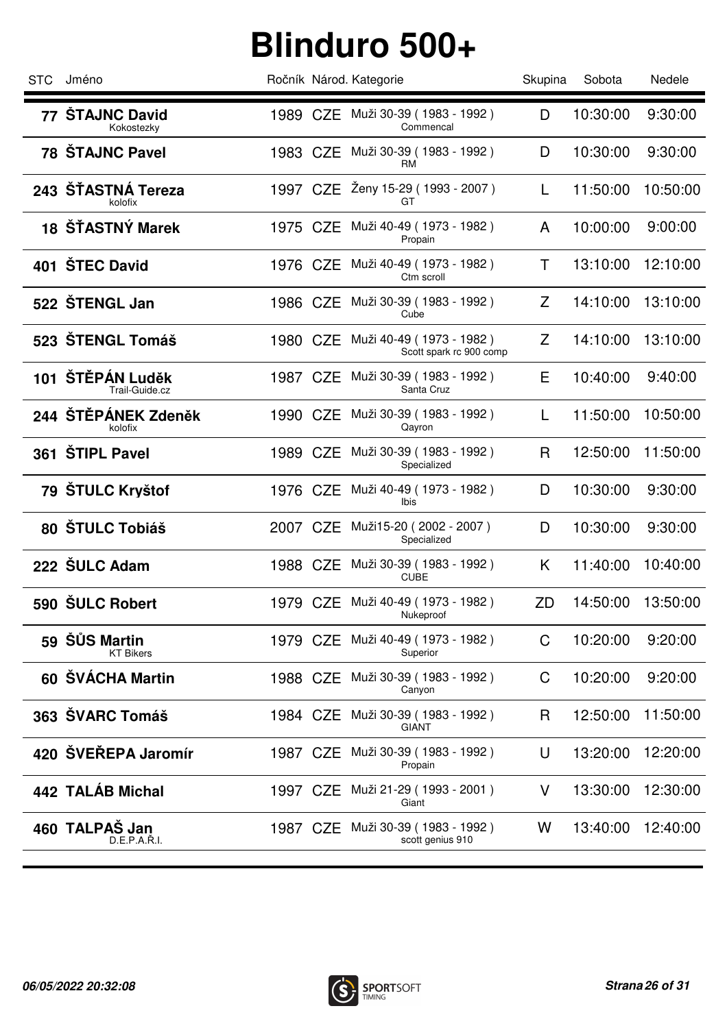| <b>STC</b> | Jméno                                 |          | Ročník Národ. Kategorie                             | Skupina | Sobota   | Nedele   |
|------------|---------------------------------------|----------|-----------------------------------------------------|---------|----------|----------|
|            | 77 ŠTAJNC David<br>Kokostezky         |          | 1989 CZE Muži 30-39 (1983 - 1992)<br>Commencal      | D       | 10:30:00 | 9:30:00  |
|            | 78 ŠTAJNC Pavel                       | 1983 CZE | Muži 30-39 (1983 - 1992 )<br>RM                     | D       | 10:30:00 | 9:30:00  |
|            | 243 ŠTASTNÁ Tereza<br>kolofix         |          | 1997 CZE Ženy 15-29 (1993 - 2007)<br>GT             | L       | 11:50:00 | 10:50:00 |
|            | 18 ŠŤASTNÝ Marek                      |          | 1975 CZE Muži 40-49 (1973 - 1982)<br>Propain        | A       | 10:00:00 | 9:00:00  |
|            | 401 ŠTEC David                        | 1976 CZE | Muži 40-49 (1973 - 1982)<br>Ctm scroll              | Τ       | 13:10:00 | 12:10:00 |
|            | 522 ŠTENGL Jan                        | 1986 CZE | Muži 30-39 (1983 - 1992)<br>Cube                    | Z       | 14:10:00 | 13:10:00 |
|            | 523 ŠTENGL Tomáš                      | 1980 CZE | Muži 40-49 (1973 - 1982)<br>Scott spark rc 900 comp | Z       | 14:10:00 | 13:10:00 |
|            | 101 ŠTĚPÁN Luděk<br>Trail-Guide.cz    | 1987 CZE | Muži 30-39 (1983 - 1992)<br>Santa Cruz              | Е       | 10:40:00 | 9:40:00  |
|            | 244 ŠTĚPÁNEK Zdeněk<br>kolofix        | 1990 CZE | Muži 30-39 ( 1983 - 1992 )<br>Qayron                | L       | 11:50:00 | 10:50:00 |
|            | 361 ŠTIPL Pavel                       | 1989 CZE | Muži 30-39 (1983 - 1992)<br>Specialized             | R       | 12:50:00 | 11:50:00 |
|            | 79 ŠTULC Kryštof                      |          | 1976 CZE Muži 40-49 (1973 - 1982)<br>Ibis           | D       | 10:30:00 | 9:30:00  |
|            | 80 ŠTULC Tobiáš                       |          | 2007 CZE Muži15-20 (2002 - 2007)<br>Specialized     | D       | 10:30:00 | 9:30:00  |
|            | 222 SULC Adam                         |          | 1988 CZE Muži 30-39 (1983 - 1992)<br><b>CUBE</b>    | K       | 11:40:00 | 10:40:00 |
|            | 590 SULC Robert                       |          | 1979 CZE Muži 40-49 (1973 - 1982)<br>Nukeproof      | ZD      | 14:50:00 | 13:50:00 |
| 59         | <b>ŠŮS Martin</b><br><b>KT Bikers</b> | 1979 CZE | Muži 40-49 (1973 - 1982)<br>Superior                | C       | 10:20:00 | 9:20:00  |
|            | 60 ŠVÁCHA Martin                      | 1988 CZE | Muži 30-39 (1983 - 1992)<br>Canyon                  | C       | 10:20:00 | 9:20:00  |
|            | 363 ŠVARC Tomáš                       | 1984 CZE | Muži 30-39 (1983 - 1992)<br>GIANT                   | R       | 12:50:00 | 11:50:00 |
|            | 420 ŠVEŘEPA Jaromír                   | 1987 CZE | Muži 30-39 (1983 - 1992)<br>Propain                 | U       | 13:20:00 | 12:20:00 |
|            | 442 TALÁB Michal                      | 1997 CZE | Muži 21-29 (1993 - 2001)<br>Giant                   | V       | 13:30:00 | 12:30:00 |
|            | 460 TALPAŠ Jan<br>D.E.P.A.R.I.        | 1987 CZE | Muži 30-39 ( 1983 - 1992 )<br>scott genius 910      | W       | 13:40:00 | 12:40:00 |
|            |                                       |          |                                                     |         |          |          |

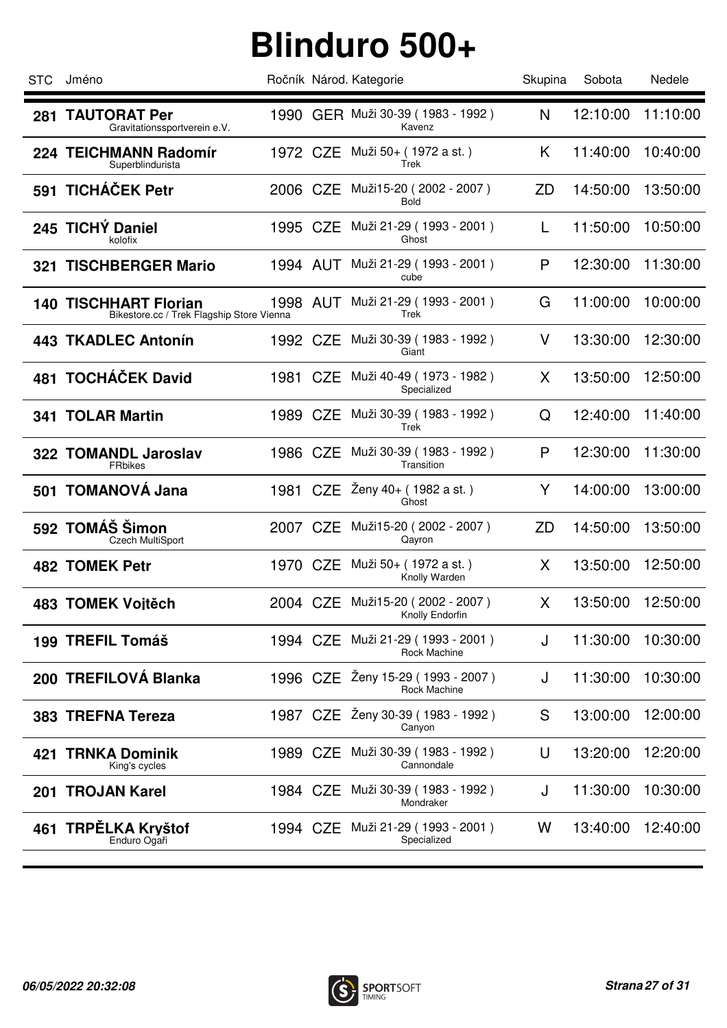| <b>STC</b> | Jméno                                                                     |          | Ročník Národ. Kategorie                             | Skupina   | Sobota   | Nedele   |
|------------|---------------------------------------------------------------------------|----------|-----------------------------------------------------|-----------|----------|----------|
| 281        | <b>TAUTORAT Per</b><br>Gravitationssportverein e.V.                       |          | 1990 GER Muži 30-39 (1983 - 1992)<br>Kavenz         | N         | 12:10:00 | 11:10:00 |
|            | 224 TEICHMANN Radomír<br>Superblindurista                                 | 1972 CZE | Muži 50+ (1972 a st.)<br>Trek                       | K         | 11:40:00 | 10:40:00 |
|            | 591 TICHÁČEK Petr                                                         | 2006 CZE | Muži15-20 (2002 - 2007)<br>Bold                     | <b>ZD</b> | 14:50:00 | 13:50:00 |
|            | 245 TICHÝ Daniel<br>kolofix                                               | 1995 CZE | Muži 21-29 (1993 - 2001)<br>Ghost                   |           | 11:50:00 | 10:50:00 |
| 321        | <b>TISCHBERGER Mario</b>                                                  | 1994 AUT | Muži 21-29 (1993 - 2001)<br>cube                    | P         | 12:30:00 | 11:30:00 |
|            | <b>140 TISCHHART Florian</b><br>Bikestore.cc / Trek Flagship Store Vienna | 1998 AUT | Muži 21-29 (1993 - 2001)<br>Trek                    | G         | 11:00:00 | 10:00:00 |
|            | <b>443 TKADLEC Antonín</b>                                                | 1992 CZE | Muži 30-39 (1983 - 1992)<br>Giant                   | V         | 13:30:00 | 12:30:00 |
|            | 481 TOCHÁČEK David                                                        | 1981 CZE | Muži 40-49 (1973 - 1982)<br>Specialized             | X         | 13:50:00 | 12:50:00 |
|            | <b>341 TOLAR Martin</b>                                                   | 1989 CZE | Muži 30-39 (1983 - 1992)<br>Trek                    | Q         | 12:40:00 | 11:40:00 |
|            | 322 TOMANDL Jaroslav<br><b>FRbikes</b>                                    | 1986 CZE | Muži 30-39 (1983 - 1992)<br>Transition              | P         | 12:30:00 | 11:30:00 |
|            | 501 TOMANOVÁ Jana                                                         | 1981 CZE | Ženy 40+ (1982 a st.)<br>Ghost                      | Y         | 14:00:00 | 13:00:00 |
|            | 592 TOMÁŠ Šimon<br><b>Czech MultiSport</b>                                | 2007 CZE | Muži15-20 (2002 - 2007)<br>Qayron                   | ZD        | 14:50:00 | 13:50:00 |
|            | <b>482 TOMEK Petr</b>                                                     |          | 1970 CZE Muži 50+ (1972 a st.)<br>Knolly Warden     | X         | 13:50:00 | 12:50:00 |
|            | 483 TOMEK Vojtěch                                                         |          | 2004 CZE Muži15-20 (2002 - 2007)<br>Knolly Endorfin | X         | 13:50:00 | 12:50:00 |
|            | 199 TREFIL Tomáš                                                          | 1994 CZE | Muži 21-29 (1993 - 2001)<br>Rock Machine            | J         | 11:30:00 | 10:30:00 |
|            | 200 TREFILOVÁ Blanka                                                      |          | 1996 CZE Żeny 15-29 (1993 - 2007)<br>Rock Machine   | J         | 11:30:00 | 10:30:00 |
|            | 383 TREFNA Tereza                                                         |          | 1987 CZE Ženy 30-39 (1983 - 1992)<br>Canyon         | S         | 13:00:00 | 12:00:00 |
| 421        | <b>TRNKA Dominik</b><br>King's cycles                                     |          | 1989 CZE Muži 30-39 (1983 - 1992)<br>Cannondale     | U         | 13:20:00 | 12:20:00 |
| 201        | <b>TROJAN Karel</b>                                                       | 1984 CZE | Muži 30-39 (1983 - 1992)<br>Mondraker               | J         | 11:30:00 | 10:30:00 |
| 461        | <b>TRPĖLKA Kryštof</b><br>Enduro Ogaři                                    |          | 1994 CZE Muži 21-29 (1993 - 2001)<br>Specialized    | W         | 13:40:00 | 12:40:00 |

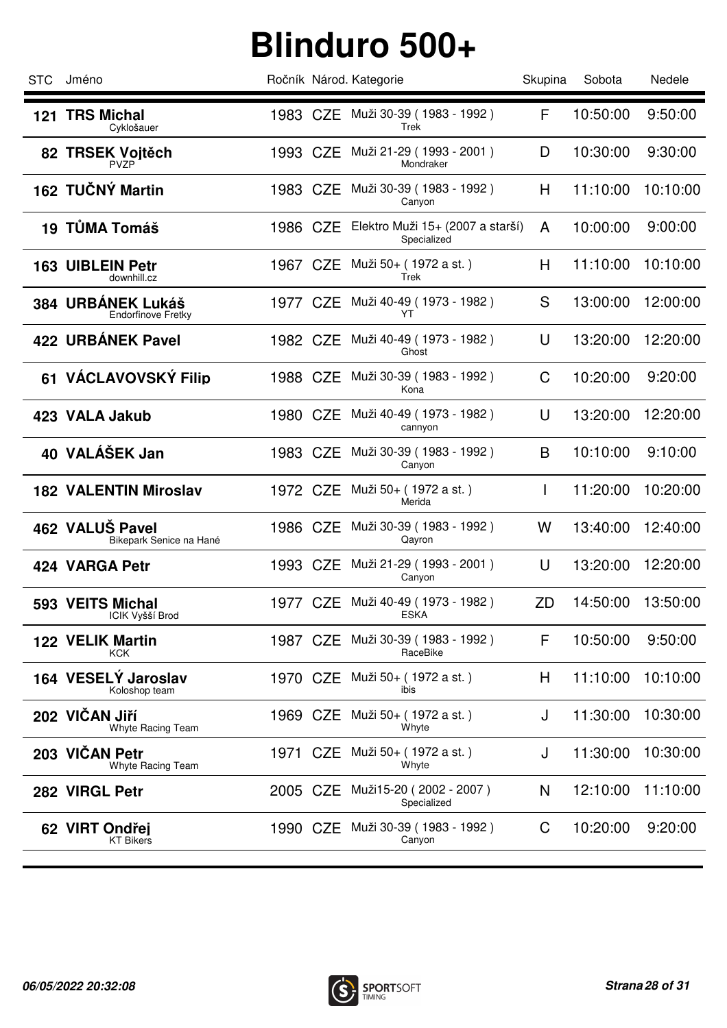| <b>STC</b> | Jméno                                          |          | Ročník Národ. Kategorie                                  | Skupina      | Sobota   | Nedele   |
|------------|------------------------------------------------|----------|----------------------------------------------------------|--------------|----------|----------|
|            | 121 TRS Michal<br>Cyklošauer                   |          | 1983 CZE Muži 30-39 (1983 - 1992)<br>Trek                | F            | 10:50:00 | 9:50:00  |
|            | 82 TRSEK Voitěch<br><b>PVZP</b>                | 1993 CZE | Muži 21-29 ( 1993 - 2001 )<br>Mondraker                  | D            | 10:30:00 | 9:30:00  |
|            | 162 TUČNÝ Martin                               | 1983 CZE | Muži 30-39 (1983 - 1992)<br>Canyon                       | H            | 11:10:00 | 10:10:00 |
|            | 19 TŮMA Tomáš                                  |          | 1986 CZE Elektro Muži 15+ (2007 a starší)<br>Specialized | A            | 10:00:00 | 9:00:00  |
|            | <b>163 UIBLEIN Petr</b><br>downhill.cz         | 1967 CZE | Muži 50+ (1972 a st.)<br>Trek                            | H            | 11:10:00 | 10:10:00 |
|            | 384 URBANEK Lukáš<br><b>Endorfinove Fretky</b> | 1977 CZE | Muži 40-49 (1973 - 1982)<br>YT                           | S            | 13:00:00 | 12:00:00 |
|            | 422 URBÁNEK Pavel                              | 1982 CZE | Muži 40-49 (1973 - 1982)<br>Ghost                        | U            | 13:20:00 | 12:20:00 |
|            | 61 VÁCLAVOVSKÝ Filip                           | 1988 CZE | Muži 30-39 (1983 - 1992)<br>Kona                         | C            | 10:20:00 | 9:20:00  |
|            | 423 VALA Jakub                                 | 1980 CZE | Muži 40-49 ( 1973 - 1982 )<br>cannyon                    | U            | 13:20:00 | 12:20:00 |
|            | 40 VALÁŠEK Jan                                 | 1983 CZE | Muži 30-39 (1983 - 1992)<br>Canyon                       | B            | 10:10:00 | 9:10:00  |
|            | <b>182 VALENTIN Miroslav</b>                   |          | 1972 CZE Muži 50+ (1972 a st.)<br>Merida                 | $\mathbf{I}$ | 11:20:00 | 10:20:00 |
|            | 462 VALUŠ Pavel<br>Bikepark Senice na Hané     |          | 1986 CZE Muži 30-39 (1983 - 1992)<br>Qayron              | W            | 13:40:00 | 12:40:00 |
|            | 424 VARGA Petr                                 |          | 1993 CZE Muži 21-29 (1993 - 2001)<br>Canyon              | U            | 13:20:00 | 12:20:00 |
|            | 593 VEITS Michal<br>ICIK Vyšší Brod            |          | 1977 CZE Muži 40-49 (1973 - 1982)<br><b>ESKA</b>         | ZD           | 14:50:00 | 13:50:00 |
|            | <b>122 VELIK Martin</b><br>KCK                 | 1987 CZE | Muži 30-39 (1983 - 1992)<br>RaceBike                     | F            | 10:50:00 | 9:50:00  |
|            | 164 VESELÝ Jaroslav<br>Koloshop team           |          | 1970 CZE Muži 50+ (1972 a st.)<br>ibis                   | H            | 11:10:00 | 10:10:00 |
|            | 202 VIČAN Jiří<br>Whyte Racing Team            | 1969 CZE | Muži 50+ ( 1972 a st. )<br>Whyte                         | J            | 11:30:00 | 10:30:00 |
|            | 203 VIČAN Petr<br>Whyte Racing Team            | 1971 CZE | Muži 50+ (1972 a st.)<br>Whyte                           | J            | 11:30:00 | 10:30:00 |
|            | 282 VIRGL Petr                                 | 2005 CZE | Muži15-20 (2002 - 2007)<br>Specialized                   | N            | 12:10:00 | 11:10:00 |
|            | 62 VIRT Ondřej<br><b>KT Bikers</b>             |          | 1990 CZE Muži 30-39 (1983 - 1992)<br>Canyon              | C            | 10:20:00 | 9:20:00  |
|            |                                                |          |                                                          |              |          |          |

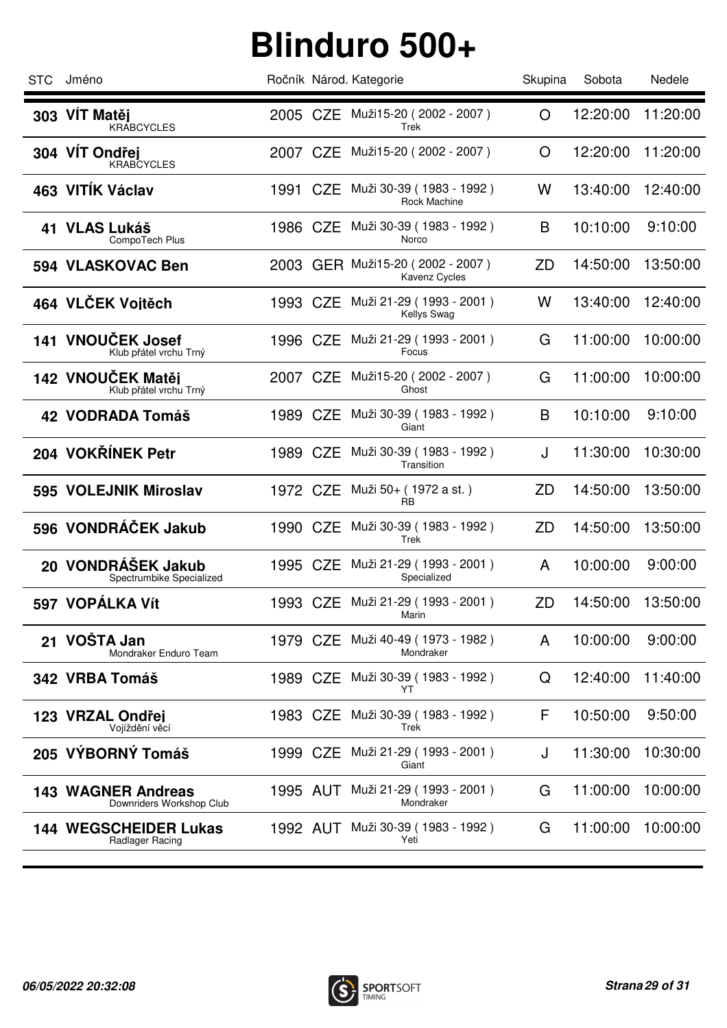| <b>STC</b> | Jméno                                                 |          | Ročník Národ. Kategorie                           | Skupina | Sobota   | Nedele   |
|------------|-------------------------------------------------------|----------|---------------------------------------------------|---------|----------|----------|
|            | 303 VÍT Matěj<br><b>KRABCYCLES</b>                    |          | 2005 CZE Muži15-20 (2002 - 2007)<br>Trek          | O       | 12:20:00 | 11:20:00 |
|            | 304 VÍT Ondřej<br><b>KRABCYCLES</b>                   | 2007 CZE | Muži15-20 (2002 - 2007)                           | O       | 12:20:00 | 11:20:00 |
|            | 463 VITÍK Václav                                      | 1991 CZE | Muži 30-39 (1983 - 1992)<br><b>Rock Machine</b>   | W       | 13:40:00 | 12:40:00 |
|            | 41 VLAS Lukáš<br>CompoTech Plus                       | 1986 CZE | Muži 30-39 ( 1983 - 1992 )<br>Norco               | B       | 10:10:00 | 9:10:00  |
|            | 594 VLASKOVAC Ben                                     |          | 2003 GER Muži15-20 (2002 - 2007)<br>Kavenz Cycles | ZD      | 14:50:00 | 13:50:00 |
|            | 464 VLČEK Vojtěch                                     | 1993 CZE | Muži 21-29 ( 1993 - 2001 )<br><b>Kellys Swag</b>  | W       | 13:40:00 | 12:40:00 |
|            | 141 VNOUČEK Josef<br>Klub přátel vrchu Trný           | 1996 CZE | Muži 21-29 ( 1993 - 2001 )<br>Focus               | G       | 11:00:00 | 10:00:00 |
|            | 142 VNOUČEK Matěj<br>Klub přátel vrchu Trný           |          | 2007 CZE Muži15-20 (2002 - 2007)<br>Ghost         | G       | 11:00:00 | 10:00:00 |
|            | 42 VODRADA Tomáš                                      | 1989 CZE | Muži 30-39 (1983 - 1992 )<br>Giant                | B       | 10:10:00 | 9:10:00  |
|            | 204 VOKŘÍNEK Petr                                     | 1989 CZE | Muži 30-39 (1983 - 1992)<br>Transition            | J       | 11:30:00 | 10:30:00 |
|            | 595 VOLEJNIK Miroslav                                 |          | 1972 CZE Muži 50+ (1972 a st.)<br>RB              | ZD      | 14:50:00 | 13:50:00 |
|            | 596 VONDRÁČEK Jakub                                   | 1990 CZE | Muži 30-39 (1983 - 1992)<br>Trek                  | ZD      | 14:50:00 | 13:50:00 |
|            | 20 VONDRÁŠEK Jakub<br>Spectrumbike Specialized        | 1995 CZE | Muži 21-29 ( 1993 - 2001 )<br>Specialized         | A       | 10:00:00 | 9:00:00  |
|            | 597 VOPÁLKA Vít                                       |          | 1993 CZE Muži 21-29 (1993 - 2001)<br>Marin        | ZD      | 14:50:00 | 13:50:00 |
| 21         | VOŠTA Jan<br>Mondraker Enduro Team                    | 1979 CZE | Muži 40-49 (1973 - 1982)<br>Mondraker             | A       | 10:00:00 | 9:00:00  |
|            | 342 VRBA Tomáš                                        | 1989 CZE | Muži 30-39 (1983 - 1992)<br>YT                    | Q       | 12:40:00 | 11:40:00 |
|            | 123 VRZAL Ondřej<br>Vojíždění věcí                    | 1983 CZE | Muži 30-39 (1983 - 1992)<br>Trek                  | F       | 10:50:00 | 9:50:00  |
|            | 205 VÝBORNÝ Tomáš                                     | 1999 CZE | Muži 21-29 (1993 - 2001)<br>Giant                 | J       | 11:30:00 | 10:30:00 |
|            | <b>143 WAGNER Andreas</b><br>Downriders Workshop Club |          | 1995 AUT Muži 21-29 (1993 - 2001)<br>Mondraker    | G       | 11:00:00 | 10:00:00 |
|            | 144 WEGSCHEIDER Lukas<br>Radlager Racing              | 1992 AUT | Muži 30-39 (1983 - 1992)<br>Yeti                  | G       | 11:00:00 | 10:00:00 |
|            |                                                       |          |                                                   |         |          |          |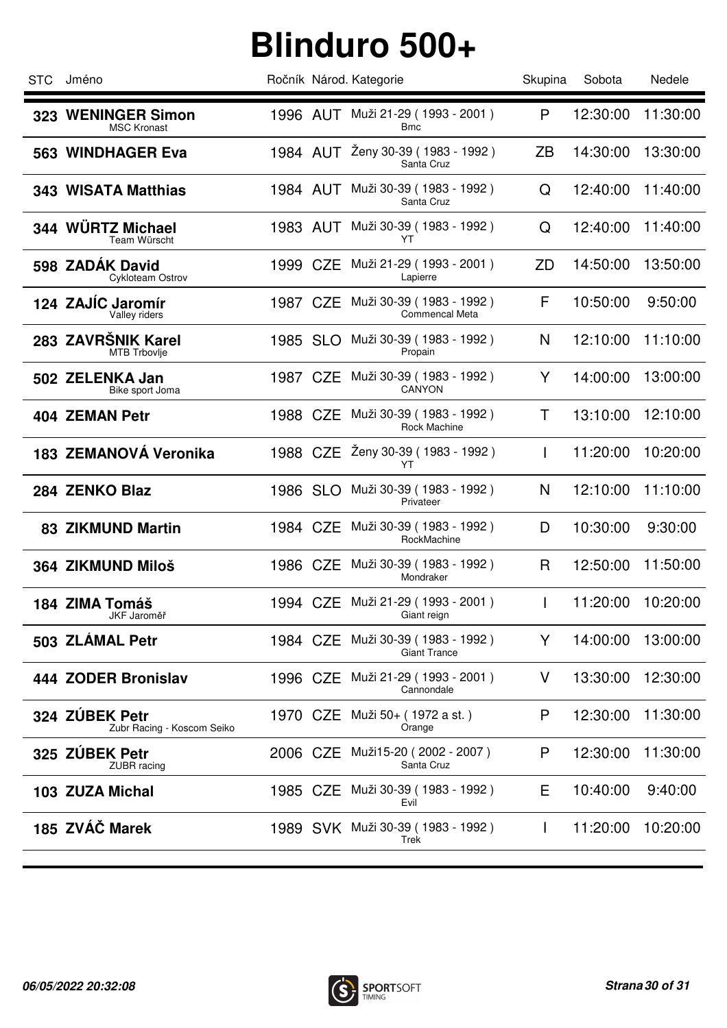| Jméno                                        |  | Ročník Národ. Kategorie                                                                                  | Skupina                                                                                                                                                                                                                                                                                                                                                       | Sobota   | Nedele   |
|----------------------------------------------|--|----------------------------------------------------------------------------------------------------------|---------------------------------------------------------------------------------------------------------------------------------------------------------------------------------------------------------------------------------------------------------------------------------------------------------------------------------------------------------------|----------|----------|
| 323 WENINGER Simon<br><b>MSC Kronast</b>     |  | <b>Bmc</b>                                                                                               | P                                                                                                                                                                                                                                                                                                                                                             | 12:30:00 | 11:30:00 |
| 563 WINDHAGER Eva                            |  | Ženy 30-39 (1983 - 1992)<br>Santa Cruz                                                                   | ZΒ                                                                                                                                                                                                                                                                                                                                                            | 14:30:00 | 13:30:00 |
| <b>343 WISATA Matthias</b>                   |  | Muži 30-39 (1983 - 1992)<br>Santa Cruz                                                                   | Q                                                                                                                                                                                                                                                                                                                                                             | 12:40:00 | 11:40:00 |
| 344 WÜRTZ Michael<br>Team Würscht            |  | Muži 30-39 (1983 - 1992)<br>YT                                                                           | Q                                                                                                                                                                                                                                                                                                                                                             | 12:40:00 | 11:40:00 |
| 598 ZADÁK David<br>Cykloteam Ostrov          |  | Muži 21-29 (1993 - 2001)<br>Lapierre                                                                     | ZD                                                                                                                                                                                                                                                                                                                                                            | 14:50:00 | 13:50:00 |
| 124 ZAJÍC Jaromír<br>Valley riders           |  | Muži 30-39 (1983 - 1992)<br><b>Commencal Meta</b>                                                        | F                                                                                                                                                                                                                                                                                                                                                             | 10:50:00 | 9:50:00  |
| 283 ZAVRŠNIK Karel<br>MTB Trbovlje           |  | Muži 30-39 (1983 - 1992)<br>Propain                                                                      | N                                                                                                                                                                                                                                                                                                                                                             | 12:10:00 | 11:10:00 |
| 502 ZELENKA Jan<br>Bike sport Joma           |  | Muži 30-39 (1983 - 1992)<br>CANYON                                                                       | Y                                                                                                                                                                                                                                                                                                                                                             | 14:00:00 | 13:00:00 |
| 404 ZEMAN Petr                               |  | Muži 30-39 (1983 - 1992)<br>Rock Machine                                                                 | Τ                                                                                                                                                                                                                                                                                                                                                             | 13:10:00 | 12:10:00 |
| 183 ZEMANOVÁ Veronika                        |  | YT                                                                                                       | L                                                                                                                                                                                                                                                                                                                                                             | 11:20:00 | 10:20:00 |
| 284 ZENKO Blaz                               |  | Muži 30-39 (1983 - 1992)<br>Privateer                                                                    | N                                                                                                                                                                                                                                                                                                                                                             | 12:10:00 | 11:10:00 |
| <b>83 ZIKMUND Martin</b>                     |  | Muži 30-39 (1983 - 1992)<br>RockMachine                                                                  | D                                                                                                                                                                                                                                                                                                                                                             | 10:30:00 | 9:30:00  |
| 364 ZIKMUND Miloš                            |  | Mondraker                                                                                                | R                                                                                                                                                                                                                                                                                                                                                             | 12:50:00 | 11:50:00 |
| 184 ZIMA Tomáš<br>JKF Jaroměř                |  | Giant reign                                                                                              | L                                                                                                                                                                                                                                                                                                                                                             | 11:20:00 | 10:20:00 |
| 503 ZLÁMAL Petr                              |  | Muži 30-39 (1983 - 1992)<br><b>Giant Trance</b>                                                          | Y                                                                                                                                                                                                                                                                                                                                                             | 14:00:00 | 13:00:00 |
| 444 ZODER Bronislav                          |  | Cannondale                                                                                               | V                                                                                                                                                                                                                                                                                                                                                             | 13:30:00 | 12:30:00 |
| 324 ZÚBEK Petr<br>Zubr Racing - Koscom Seiko |  | Orange                                                                                                   | P                                                                                                                                                                                                                                                                                                                                                             | 12:30:00 | 11:30:00 |
| 325 ZÚBEK Petr<br>ZUBR racing                |  | Santa Cruz                                                                                               | P                                                                                                                                                                                                                                                                                                                                                             | 12:30:00 | 11:30:00 |
| 103 ZUZA Michal                              |  | Evil                                                                                                     | Е                                                                                                                                                                                                                                                                                                                                                             | 10:40:00 | 9:40:00  |
| 185 ZVÁČ Marek                               |  | Trek                                                                                                     | $\mathbf{I}$                                                                                                                                                                                                                                                                                                                                                  | 11:20:00 | 10:20:00 |
|                                              |  | 1984 AUT<br>1999 CZE<br>1987 CZE<br>1985 SLO<br>1987 CZE<br>1988 CZE<br>1986 SLO<br>1984 CZE<br>1984 CZE | 1996 AUT Muži 21-29 (1993 - 2001)<br>1984 AUT<br>1983 AUT<br>1988 CZE Ženy 30-39 (1983 - 1992)<br>1986 CZE Muži 30-39 (1983 - 1992)<br>1994 CZE Muži 21-29 (1993 - 2001)<br>1996 CZE Muži 21-29 (1993 - 2001)<br>1970 CZE Muži 50+ (1972 a st.)<br>2006 CZE Muži15-20 (2002 - 2007)<br>1985 CZE Muži 30-39 (1983 - 1992)<br>1989 SVK Muži 30-39 (1983 - 1992) |          |          |